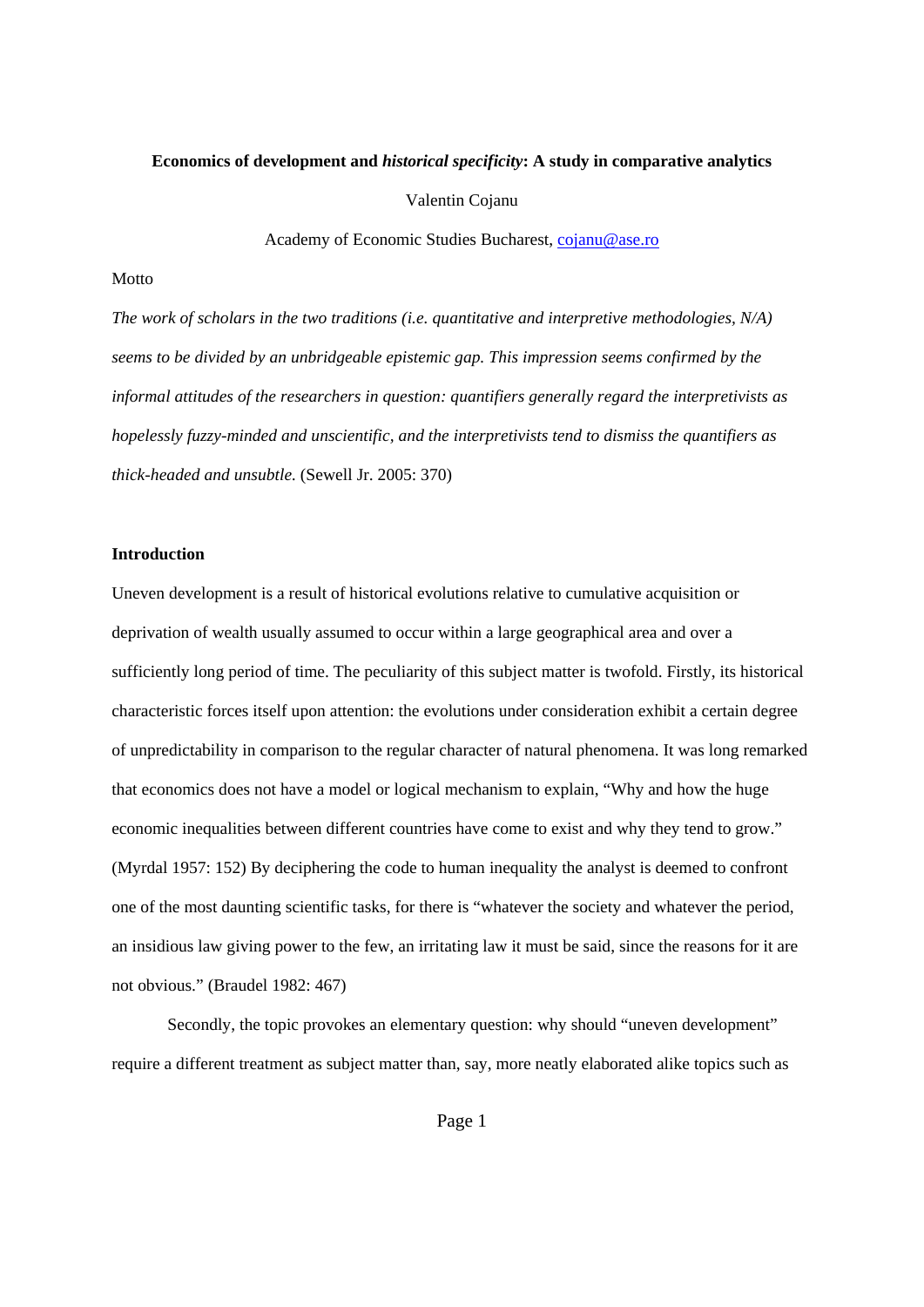# **Economics of development and** *historical specificity***: A study in comparative analytics**

Valentin Cojanu

Academy of Economic Studies Bucharest, [cojanu@ase.ro](mailto:cojanu@ase.ro)

# Motto

*The work of scholars in the two traditions (i.e. quantitative and interpretive methodologies, N/A) seems to be divided by an unbridgeable epistemic gap. This impression seems confirmed by the informal attitudes of the researchers in question: quantifiers generally regard the interpretivists as hopelessly fuzzy-minded and unscientific, and the interpretivists tend to dismiss the quantifiers as thick-headed and unsubtle.* (Sewell Jr. 2005: 370)

# **Introduction**

Uneven development is a result of historical evolutions relative to cumulative acquisition or deprivation of wealth usually assumed to occur within a large geographical area and over a sufficiently long period of time. The peculiarity of this subject matter is twofold. Firstly, its historical characteristic forces itself upon attention: the evolutions under consideration exhibit a certain degree of unpredictability in comparison to the regular character of natural phenomena. It was long remarked that economics does not have a model or logical mechanism to explain, "Why and how the huge economic inequalities between different countries have come to exist and why they tend to grow." (Myrdal 1957: 152) By deciphering the code to human inequality the analyst is deemed to confront one of the most daunting scientific tasks, for there is "whatever the society and whatever the period, an insidious law giving power to the few, an irritating law it must be said, since the reasons for it are not obvious." (Braudel 1982: 467)

Secondly, the topic provokes an elementary question: why should "uneven development" require a different treatment as subject matter than, say, more neatly elaborated alike topics such as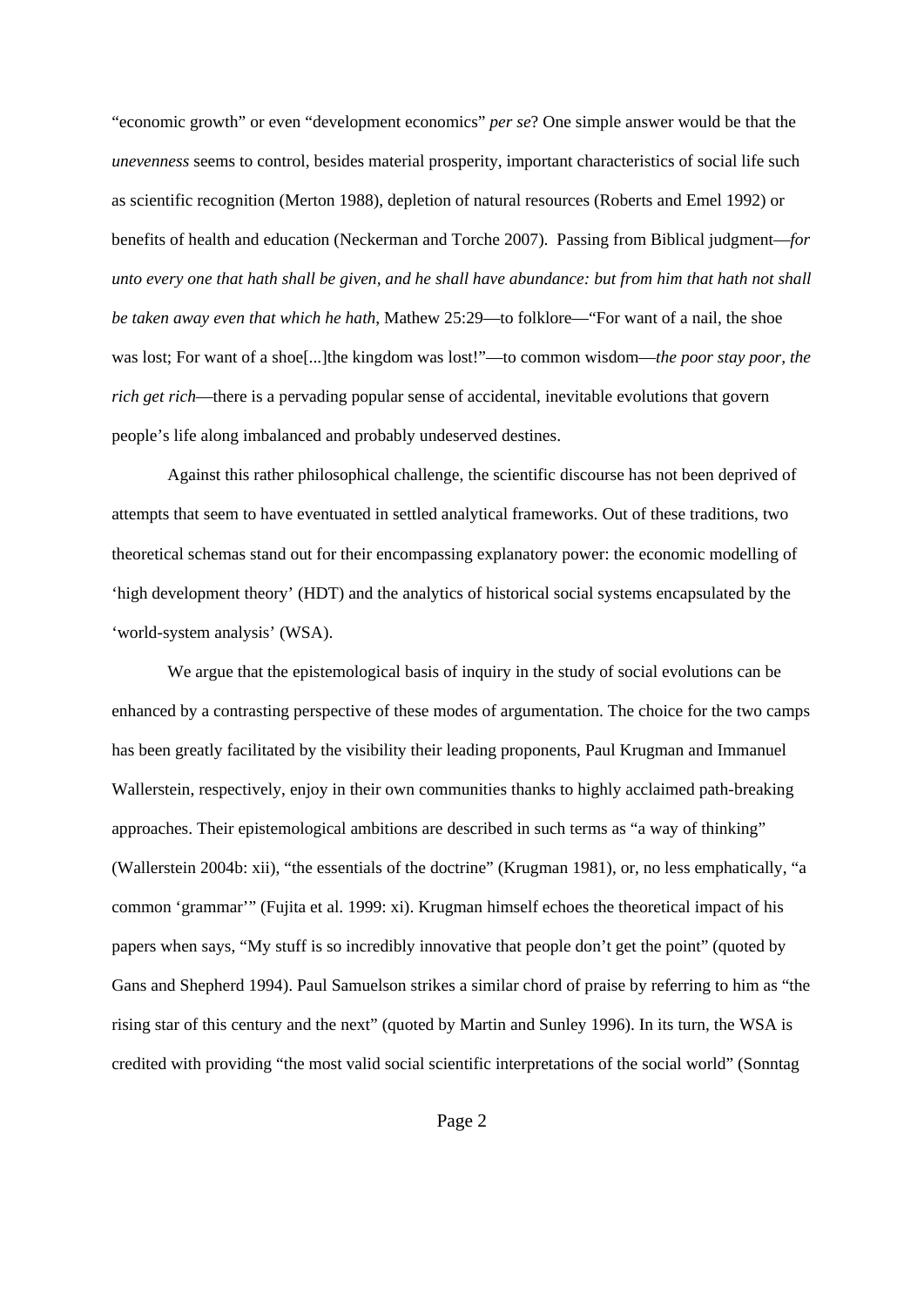"economic growth" or even "development economics" *per se*? One simple answer would be that the *unevenness* seems to control, besides material prosperity, important characteristics of social life such as scientific recognition (Merton 1988), depletion of natural resources (Roberts and Emel 1992) or benefits of health and education (Neckerman and Torche 2007). Passing from Biblical judgment—*for unto every one that hath shall be given, and he shall have abundance: but from him that hath not shall be taken away even that which he hath*, Mathew 25:29—to folklore—"For want of a nail, the shoe was lost; For want of a shoe[...]the kingdom was lost!"—to common wisdom—*the poor stay poor, the rich get rich*—there is a pervading popular sense of accidental, inevitable evolutions that govern people's life along imbalanced and probably undeserved destines.

Against this rather philosophical challenge, the scientific discourse has not been deprived of attempts that seem to have eventuated in settled analytical frameworks. Out of these traditions, two theoretical schemas stand out for their encompassing explanatory power: the economic modelling of 'high development theory' (HDT) and the analytics of historical social systems encapsulated by the 'world-system analysis' (WSA).

We argue that the epistemological basis of inquiry in the study of social evolutions can be enhanced by a contrasting perspective of these modes of argumentation. The choice for the two camps has been greatly facilitated by the visibility their leading proponents, Paul Krugman and Immanuel Wallerstein, respectively, enjoy in their own communities thanks to highly acclaimed path-breaking approaches. Their epistemological ambitions are described in such terms as "a way of thinking" (Wallerstein 2004b: xii), "the essentials of the doctrine" (Krugman 1981), or, no less emphatically, "a common 'grammar'" (Fujita et al. 1999: xi). Krugman himself echoes the theoretical impact of his papers when says, "My stuff is so incredibly innovative that people don't get the point" (quoted by Gans and Shepherd 1994). Paul Samuelson strikes a similar chord of praise by referring to him as "the rising star of this century and the next" (quoted by Martin and Sunley 1996). In its turn, the WSA is credited with providing "the most valid social scientific interpretations of the social world" (Sonntag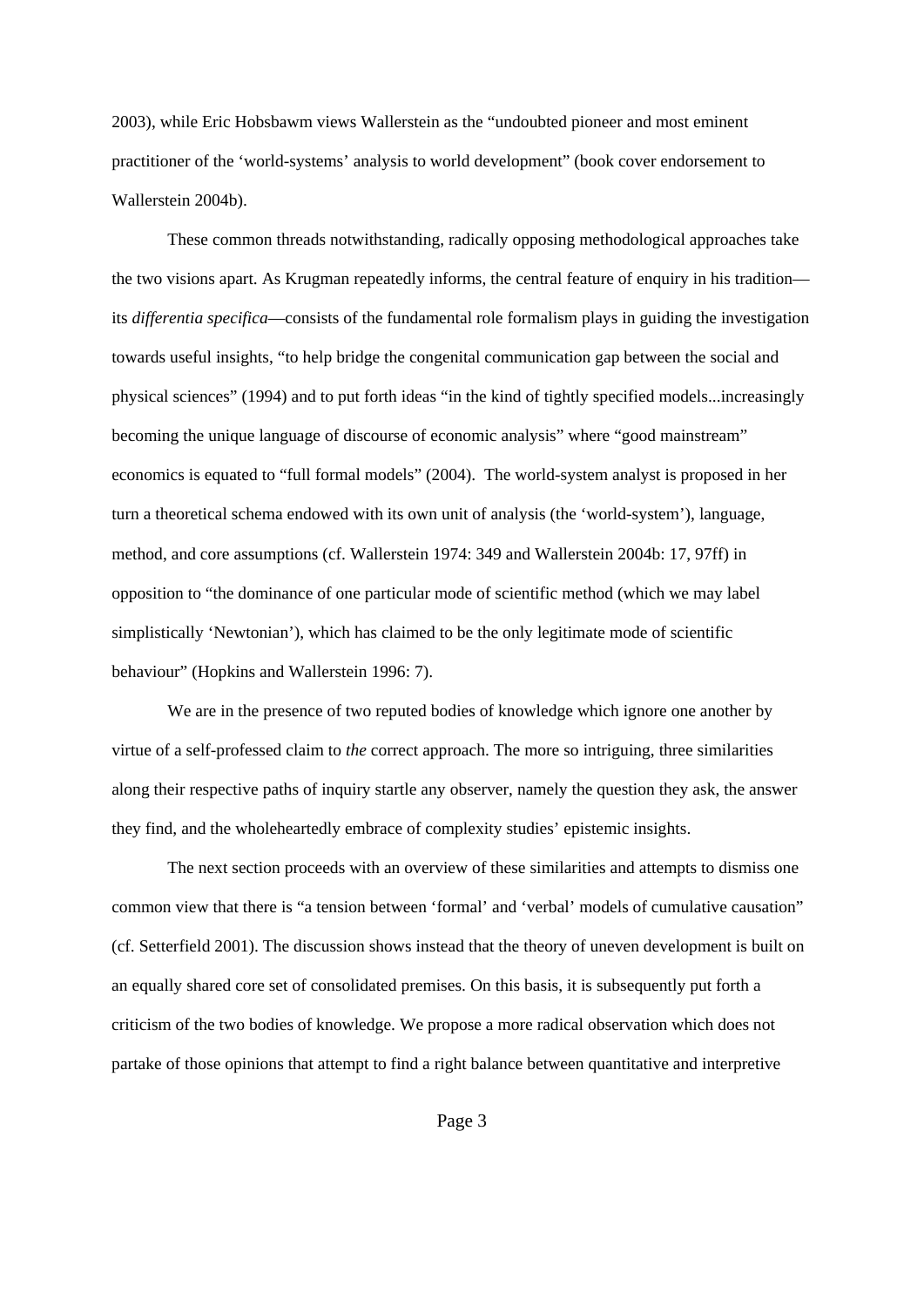2003), while Eric Hobsbawm views Wallerstein as the "undoubted pioneer and most eminent practitioner of the 'world-systems' analysis to world development" (book cover endorsement to Wallerstein 2004b).

These common threads notwithstanding, radically opposing methodological approaches take the two visions apart. As Krugman repeatedly informs, the central feature of enquiry in his tradition its *differentia specifica*—consists of the fundamental role formalism plays in guiding the investigation towards useful insights, "to help bridge the congenital communication gap between the social and physical sciences" (1994) and to put forth ideas "in the kind of tightly specified models...increasingly becoming the unique language of discourse of economic analysis" where "good mainstream" economics is equated to "full formal models" (2004). The world-system analyst is proposed in her turn a theoretical schema endowed with its own unit of analysis (the 'world-system'), language, method, and core assumptions (cf. Wallerstein 1974: 349 and Wallerstein 2004b: 17, 97ff) in opposition to "the dominance of one particular mode of scientific method (which we may label simplistically 'Newtonian'), which has claimed to be the only legitimate mode of scientific behaviour" (Hopkins and Wallerstein 1996: 7).

We are in the presence of two reputed bodies of knowledge which ignore one another by virtue of a self-professed claim to *the* correct approach. The more so intriguing, three similarities along their respective paths of inquiry startle any observer, namely the question they ask, the answer they find, and the wholeheartedly embrace of complexity studies' epistemic insights.

The next section proceeds with an overview of these similarities and attempts to dismiss one common view that there is "a tension between 'formal' and 'verbal' models of cumulative causation" (cf. Setterfield 2001). The discussion shows instead that the theory of uneven development is built on an equally shared core set of consolidated premises. On this basis, it is subsequently put forth a criticism of the two bodies of knowledge. We propose a more radical observation which does not partake of those opinions that attempt to find a right balance between quantitative and interpretive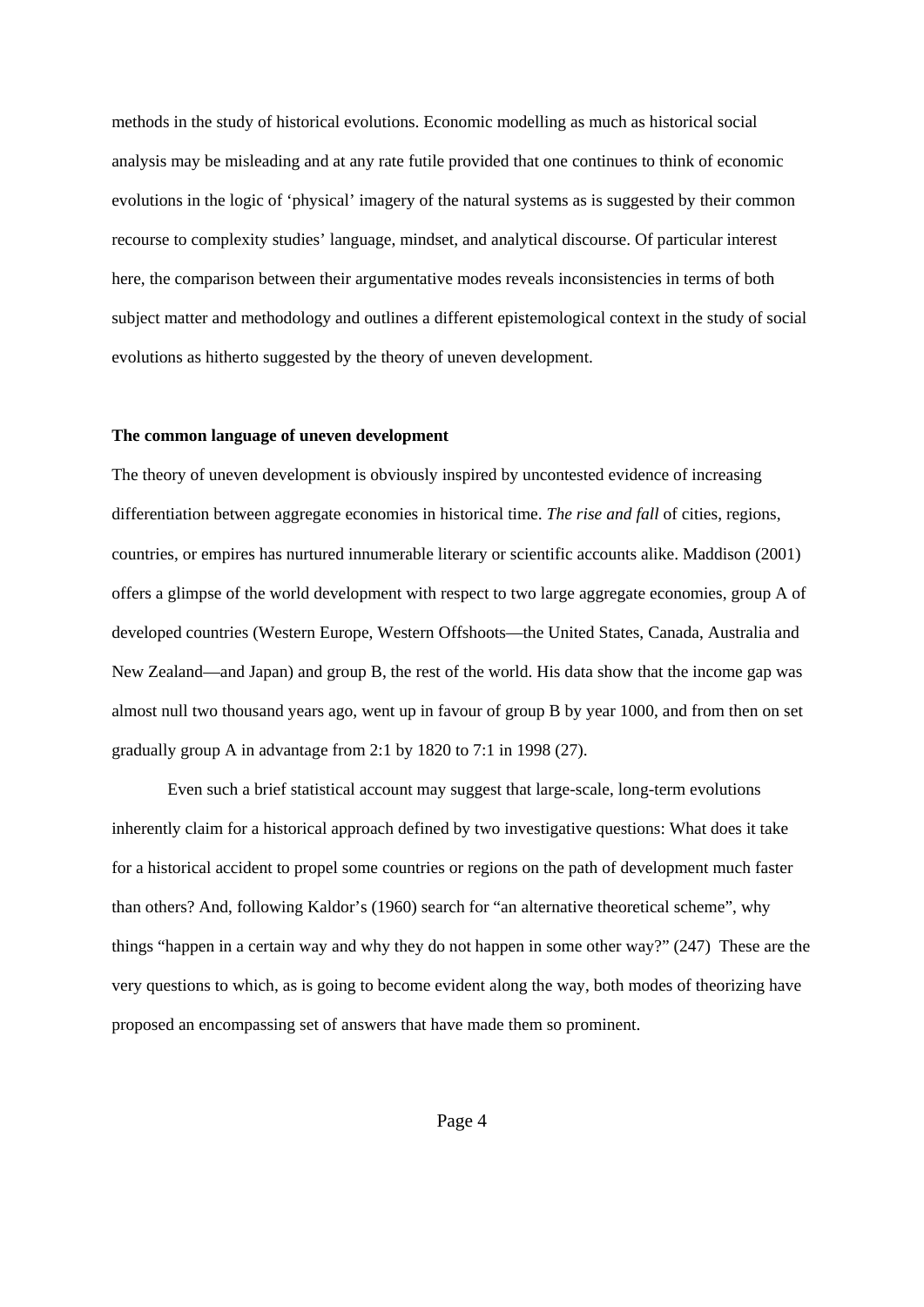methods in the study of historical evolutions. Economic modelling as much as historical social analysis may be misleading and at any rate futile provided that one continues to think of economic evolutions in the logic of 'physical' imagery of the natural systems as is suggested by their common recourse to complexity studies' language, mindset, and analytical discourse. Of particular interest here, the comparison between their argumentative modes reveals inconsistencies in terms of both subject matter and methodology and outlines a different epistemological context in the study of social evolutions as hitherto suggested by the theory of uneven development.

# **The common language of uneven development**

The theory of uneven development is obviously inspired by uncontested evidence of increasing differentiation between aggregate economies in historical time. *The rise and fall* of cities, regions, countries, or empires has nurtured innumerable literary or scientific accounts alike. Maddison (2001) offers a glimpse of the world development with respect to two large aggregate economies, group A of developed countries (Western Europe, Western Offshoots—the United States, Canada, Australia and New Zealand—and Japan) and group B, the rest of the world. His data show that the income gap was almost null two thousand years ago, went up in favour of group B by year 1000, and from then on set gradually group A in advantage from 2:1 by 1820 to 7:1 in 1998 (27).

Even such a brief statistical account may suggest that large-scale, long-term evolutions inherently claim for a historical approach defined by two investigative questions: What does it take for a historical accident to propel some countries or regions on the path of development much faster than others? And, following Kaldor's (1960) search for "an alternative theoretical scheme", why things "happen in a certain way and why they do not happen in some other way?" (247) These are the very questions to which, as is going to become evident along the way, both modes of theorizing have proposed an encompassing set of answers that have made them so prominent.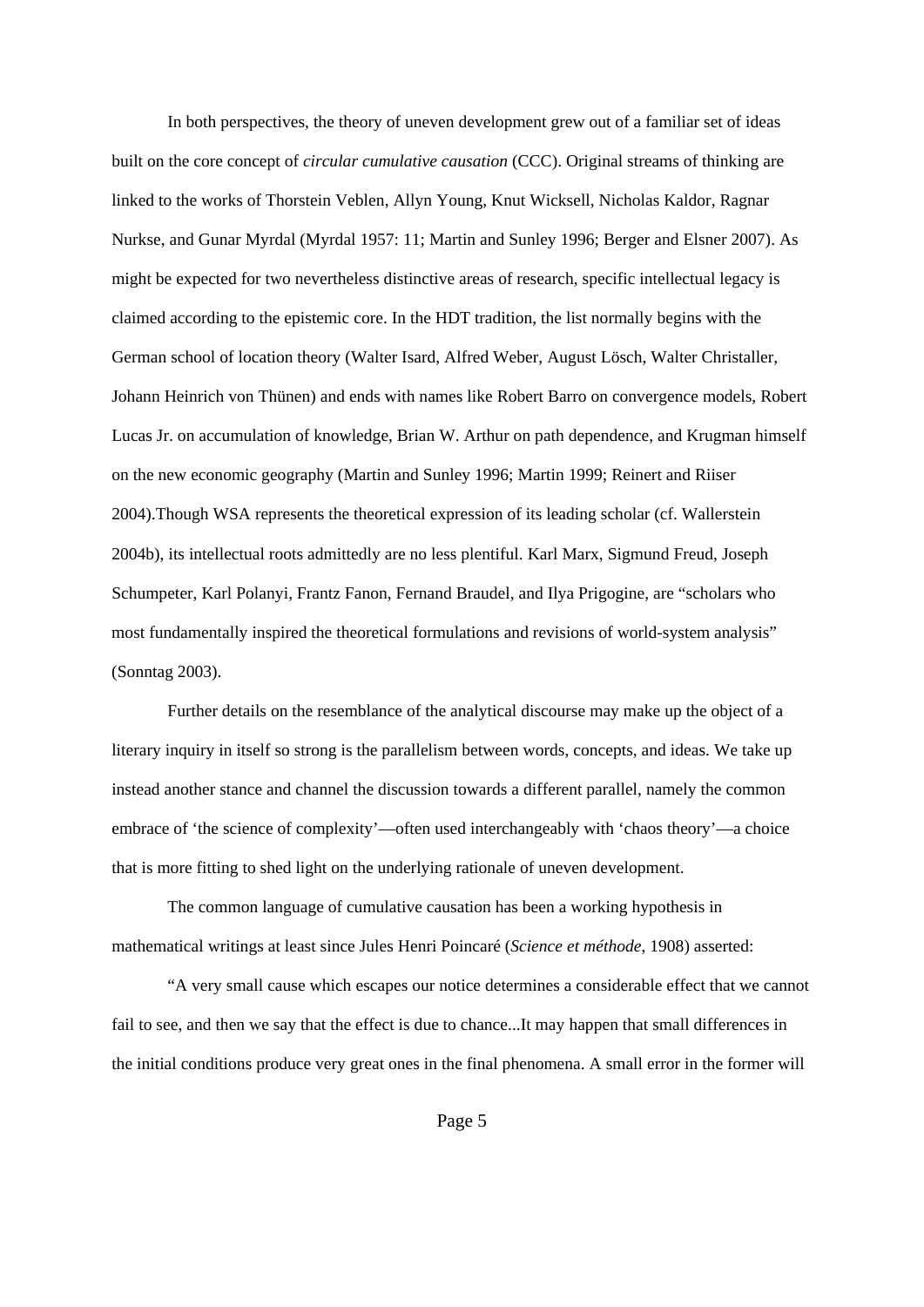In both perspectives, the theory of uneven development grew out of a familiar set of ideas built on the core concept of *circular cumulative causation* (CCC). Original streams of thinking are linked to the works of Thorstein Veblen, Allyn Young, Knut Wicksell, Nicholas Kaldor, Ragnar Nurkse, and Gunar Myrdal (Myrdal 1957: 11; Martin and Sunley 1996; Berger and Elsner 2007). As might be expected for two nevertheless distinctive areas of research, specific intellectual legacy is claimed according to the epistemic core. In the HDT tradition, the list normally begins with the German school of location theory (Walter Isard, Alfred Weber, August Lösch, Walter Christaller, Johann Heinrich von Thünen) and ends with names like Robert Barro on convergence models, Robert Lucas Jr. on accumulation of knowledge, Brian W. Arthur on path dependence, and Krugman himself on the new economic geography (Martin and Sunley 1996; Martin 1999; Reinert and Riiser 2004).Though WSA represents the theoretical expression of its leading scholar (cf. Wallerstein 2004b), its intellectual roots admittedly are no less plentiful. Karl Marx, Sigmund Freud, Joseph Schumpeter, Karl Polanyi, Frantz Fanon, Fernand Braudel, and Ilya Prigogine, are "scholars who most fundamentally inspired the theoretical formulations and revisions of world-system analysis" (Sonntag 2003).

Further details on the resemblance of the analytical discourse may make up the object of a literary inquiry in itself so strong is the parallelism between words, concepts, and ideas. We take up instead another stance and channel the discussion towards a different parallel, namely the common embrace of 'the science of complexity'—often used interchangeably with 'chaos theory'—a choice that is more fitting to shed light on the underlying rationale of uneven development.

The common language of cumulative causation has been a working hypothesis in mathematical writings at least since Jules Henri Poincaré (*Science et méthode*, 1908) asserted:

"A very small cause which escapes our notice determines a considerable effect that we cannot fail to see, and then we say that the effect is due to chance...It may happen that small differences in the initial conditions produce very great ones in the final phenomena. A small error in the former will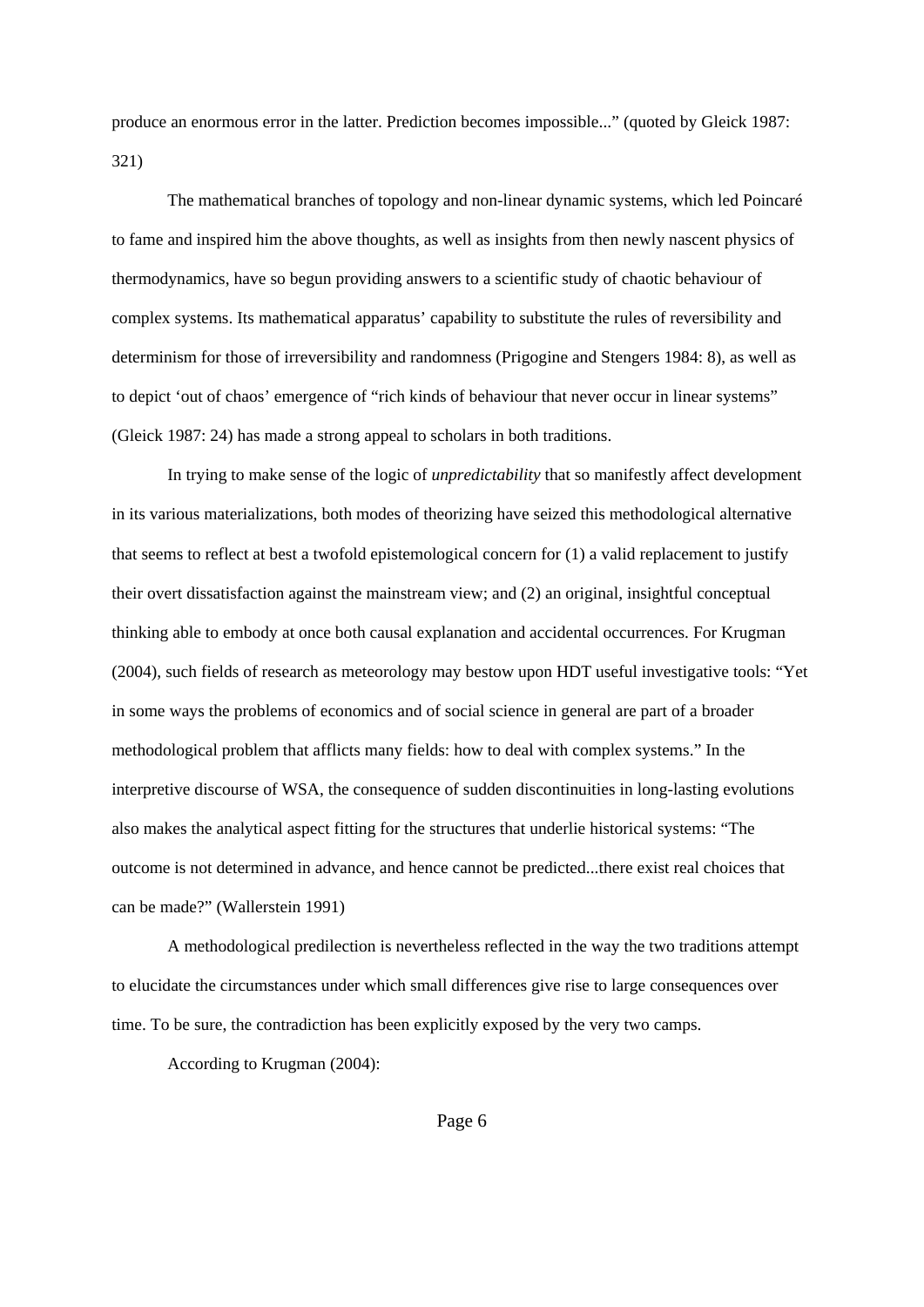produce an enormous error in the latter. Prediction becomes impossible..." (quoted by Gleick 1987: 321)

The mathematical branches of topology and non-linear dynamic systems, which led Poincaré to fame and inspired him the above thoughts, as well as insights from then newly nascent physics of thermodynamics, have so begun providing answers to a scientific study of chaotic behaviour of complex systems. Its mathematical apparatus' capability to substitute the rules of reversibility and determinism for those of irreversibility and randomness (Prigogine and Stengers 1984: 8), as well as to depict 'out of chaos' emergence of "rich kinds of behaviour that never occur in linear systems" (Gleick 1987: 24) has made a strong appeal to scholars in both traditions.

In trying to make sense of the logic of *unpredictability* that so manifestly affect development in its various materializations, both modes of theorizing have seized this methodological alternative that seems to reflect at best a twofold epistemological concern for (1) a valid replacement to justify their overt dissatisfaction against the mainstream view; and (2) an original, insightful conceptual thinking able to embody at once both causal explanation and accidental occurrences. For Krugman (2004), such fields of research as meteorology may bestow upon HDT useful investigative tools: "Yet in some ways the problems of economics and of social science in general are part of a broader methodological problem that afflicts many fields: how to deal with complex systems." In the interpretive discourse of WSA, the consequence of sudden discontinuities in long-lasting evolutions also makes the analytical aspect fitting for the structures that underlie historical systems: "The outcome is not determined in advance, and hence cannot be predicted...there exist real choices that can be made?" (Wallerstein 1991)

A methodological predilection is nevertheless reflected in the way the two traditions attempt to elucidate the circumstances under which small differences give rise to large consequences over time. To be sure, the contradiction has been explicitly exposed by the very two camps.

According to Krugman (2004):

Page 6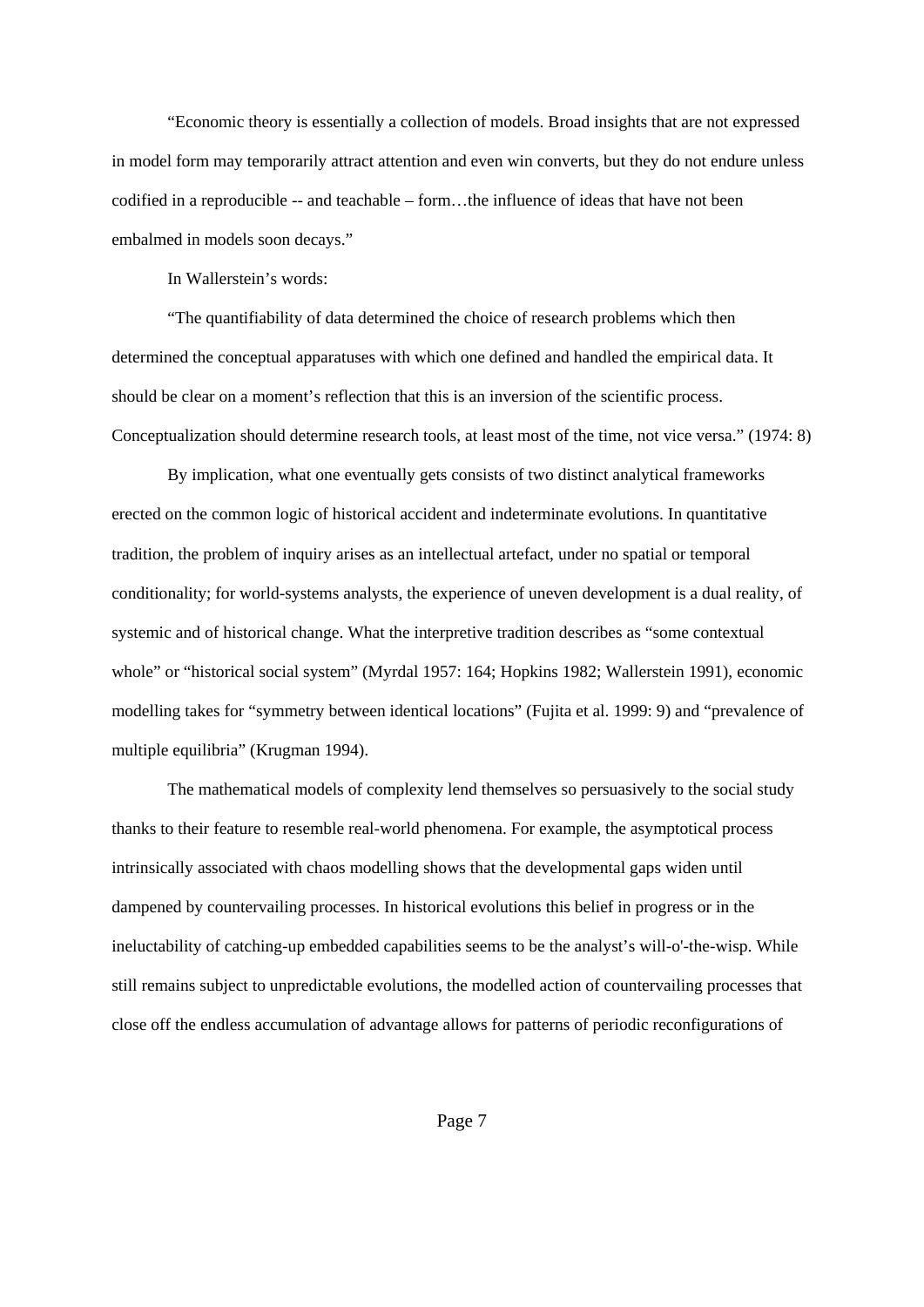"Economic theory is essentially a collection of models. Broad insights that are not expressed in model form may temporarily attract attention and even win converts, but they do not endure unless codified in a reproducible -- and teachable – form…the influence of ideas that have not been embalmed in models soon decays."

In Wallerstein's words:

"The quantifiability of data determined the choice of research problems which then determined the conceptual apparatuses with which one defined and handled the empirical data. It should be clear on a moment's reflection that this is an inversion of the scientific process. Conceptualization should determine research tools, at least most of the time, not vice versa." (1974: 8)

By implication, what one eventually gets consists of two distinct analytical frameworks erected on the common logic of historical accident and indeterminate evolutions. In quantitative tradition, the problem of inquiry arises as an intellectual artefact, under no spatial or temporal conditionality; for world-systems analysts, the experience of uneven development is a dual reality, of systemic and of historical change. What the interpretive tradition describes as "some contextual whole" or "historical social system" (Myrdal 1957: 164; Hopkins 1982; Wallerstein 1991), economic modelling takes for "symmetry between identical locations" (Fujita et al. 1999: 9) and "prevalence of multiple equilibria" (Krugman 1994).

The mathematical models of complexity lend themselves so persuasively to the social study thanks to their feature to resemble real-world phenomena. For example, the asymptotical process intrinsically associated with chaos modelling shows that the developmental gaps widen until dampened by countervailing processes. In historical evolutions this belief in progress or in the ineluctability of catching-up embedded capabilities seems to be the analyst's will-o'-the-wisp. While still remains subject to unpredictable evolutions, the modelled action of countervailing processes that close off the endless accumulation of advantage allows for patterns of periodic reconfigurations of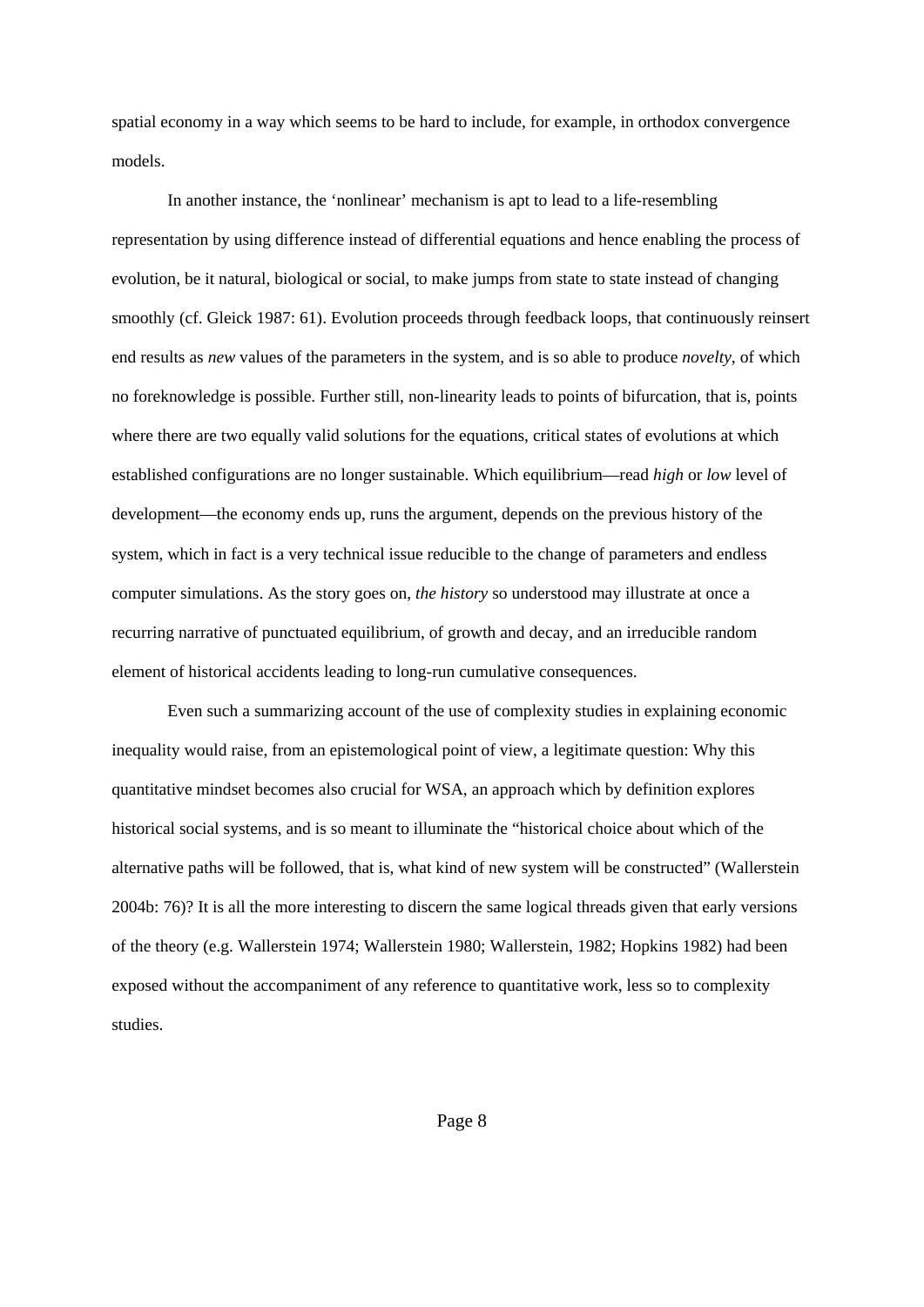spatial economy in a way which seems to be hard to include, for example, in orthodox convergence models.

In another instance, the 'nonlinear' mechanism is apt to lead to a life-resembling representation by using difference instead of differential equations and hence enabling the process of evolution, be it natural, biological or social, to make jumps from state to state instead of changing smoothly (cf. Gleick 1987: 61). Evolution proceeds through feedback loops, that continuously reinsert end results as *new* values of the parameters in the system, and is so able to produce *novelty*, of which no foreknowledge is possible. Further still, non-linearity leads to points of bifurcation, that is, points where there are two equally valid solutions for the equations, critical states of evolutions at which established configurations are no longer sustainable. Which equilibrium—read *high* or *low* level of development—the economy ends up, runs the argument, depends on the previous history of the system, which in fact is a very technical issue reducible to the change of parameters and endless computer simulations. As the story goes on, *the history* so understood may illustrate at once a recurring narrative of punctuated equilibrium, of growth and decay, and an irreducible random element of historical accidents leading to long-run cumulative consequences.

Even such a summarizing account of the use of complexity studies in explaining economic inequality would raise, from an epistemological point of view, a legitimate question: Why this quantitative mindset becomes also crucial for WSA, an approach which by definition explores historical social systems, and is so meant to illuminate the "historical choice about which of the alternative paths will be followed, that is, what kind of new system will be constructed" (Wallerstein 2004b: 76)? It is all the more interesting to discern the same logical threads given that early versions of the theory (e.g. Wallerstein 1974; Wallerstein 1980; Wallerstein, 1982; Hopkins 1982) had been exposed without the accompaniment of any reference to quantitative work, less so to complexity studies.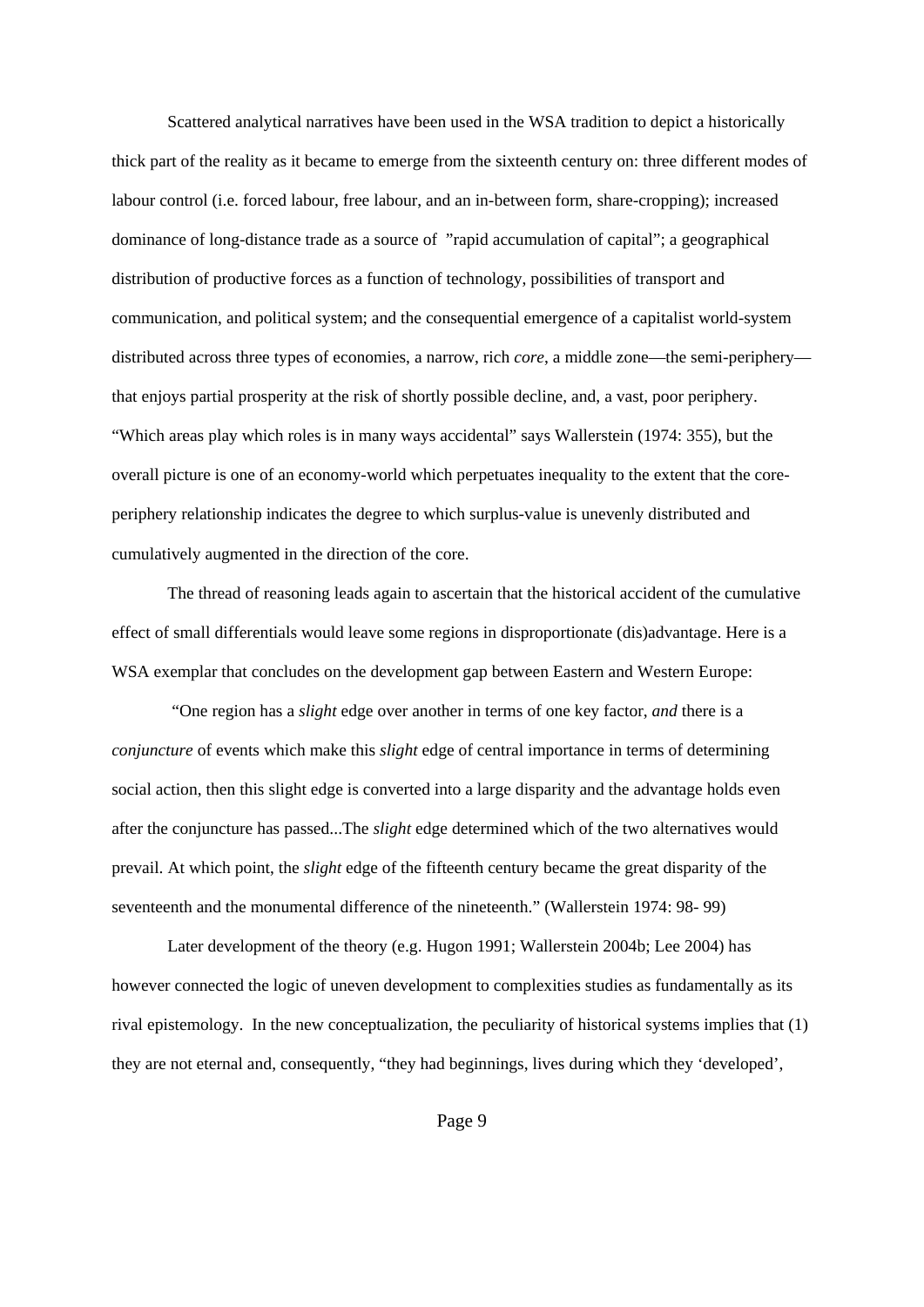Scattered analytical narratives have been used in the WSA tradition to depict a historically thick part of the reality as it became to emerge from the sixteenth century on: three different modes of labour control (i.e. forced labour, free labour, and an in-between form, share-cropping); increased dominance of long-distance trade as a source of "rapid accumulation of capital"; a geographical distribution of productive forces as a function of technology, possibilities of transport and communication, and political system; and the consequential emergence of a capitalist world-system distributed across three types of economies, a narrow, rich *core*, a middle zone—the semi-periphery that enjoys partial prosperity at the risk of shortly possible decline, and, a vast, poor periphery. "Which areas play which roles is in many ways accidental" says Wallerstein (1974: 355), but the overall picture is one of an economy-world which perpetuates inequality to the extent that the coreperiphery relationship indicates the degree to which surplus-value is unevenly distributed and cumulatively augmented in the direction of the core.

The thread of reasoning leads again to ascertain that the historical accident of the cumulative effect of small differentials would leave some regions in disproportionate (dis)advantage. Here is a WSA exemplar that concludes on the development gap between Eastern and Western Europe:

 "One region has a *slight* edge over another in terms of one key factor, *and* there is a *conjuncture* of events which make this *slight* edge of central importance in terms of determining social action, then this slight edge is converted into a large disparity and the advantage holds even after the conjuncture has passed...The *slight* edge determined which of the two alternatives would prevail. At which point, the *slight* edge of the fifteenth century became the great disparity of the seventeenth and the monumental difference of the nineteenth." (Wallerstein 1974: 98- 99)

 Later development of the theory (e.g. Hugon 1991; Wallerstein 2004b; Lee 2004) has however connected the logic of uneven development to complexities studies as fundamentally as its rival epistemology. In the new conceptualization, the peculiarity of historical systems implies that (1) they are not eternal and, consequently, "they had beginnings, lives during which they 'developed',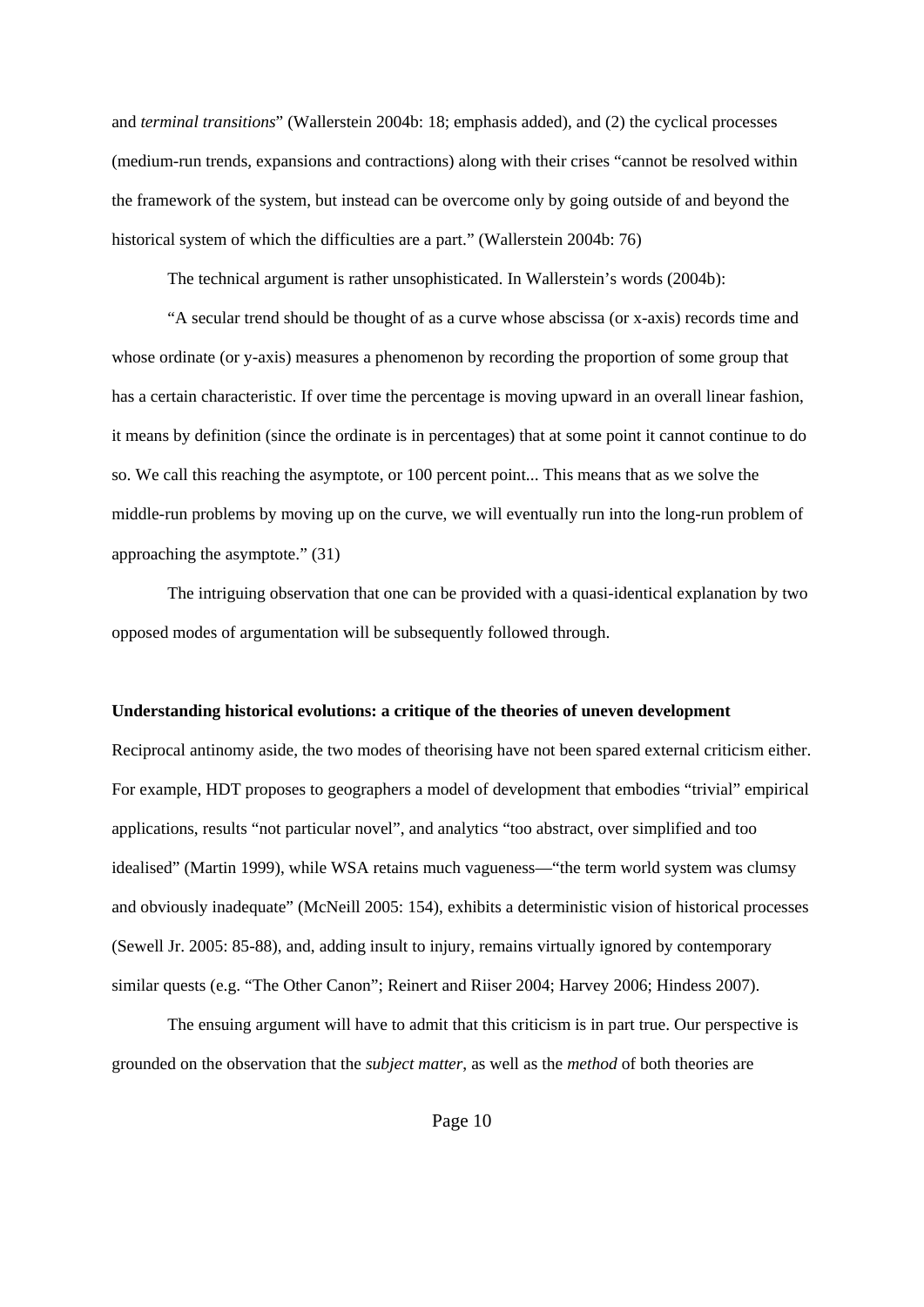and *terminal transitions*" (Wallerstein 2004b: 18; emphasis added), and (2) the cyclical processes (medium-run trends, expansions and contractions) along with their crises "cannot be resolved within the framework of the system, but instead can be overcome only by going outside of and beyond the historical system of which the difficulties are a part." (Wallerstein 2004b: 76)

The technical argument is rather unsophisticated. In Wallerstein's words (2004b):

"A secular trend should be thought of as a curve whose abscissa (or x-axis) records time and whose ordinate (or y-axis) measures a phenomenon by recording the proportion of some group that has a certain characteristic. If over time the percentage is moving upward in an overall linear fashion, it means by definition (since the ordinate is in percentages) that at some point it cannot continue to do so. We call this reaching the asymptote, or 100 percent point... This means that as we solve the middle-run problems by moving up on the curve, we will eventually run into the long-run problem of approaching the asymptote." (31)

The intriguing observation that one can be provided with a quasi-identical explanation by two opposed modes of argumentation will be subsequently followed through.

## **Understanding historical evolutions: a critique of the theories of uneven development**

Reciprocal antinomy aside, the two modes of theorising have not been spared external criticism either. For example, HDT proposes to geographers a model of development that embodies "trivial" empirical applications, results "not particular novel", and analytics "too abstract, over simplified and too idealised" (Martin 1999), while WSA retains much vagueness—"the term world system was clumsy and obviously inadequate" (McNeill 2005: 154), exhibits a deterministic vision of historical processes (Sewell Jr. 2005: 85-88), and, adding insult to injury, remains virtually ignored by contemporary similar quests (e.g. "The Other Canon"; Reinert and Riiser 2004; Harvey 2006; Hindess 2007).

 The ensuing argument will have to admit that this criticism is in part true. Our perspective is grounded on the observation that the *subject matter*, as well as the *method* of both theories are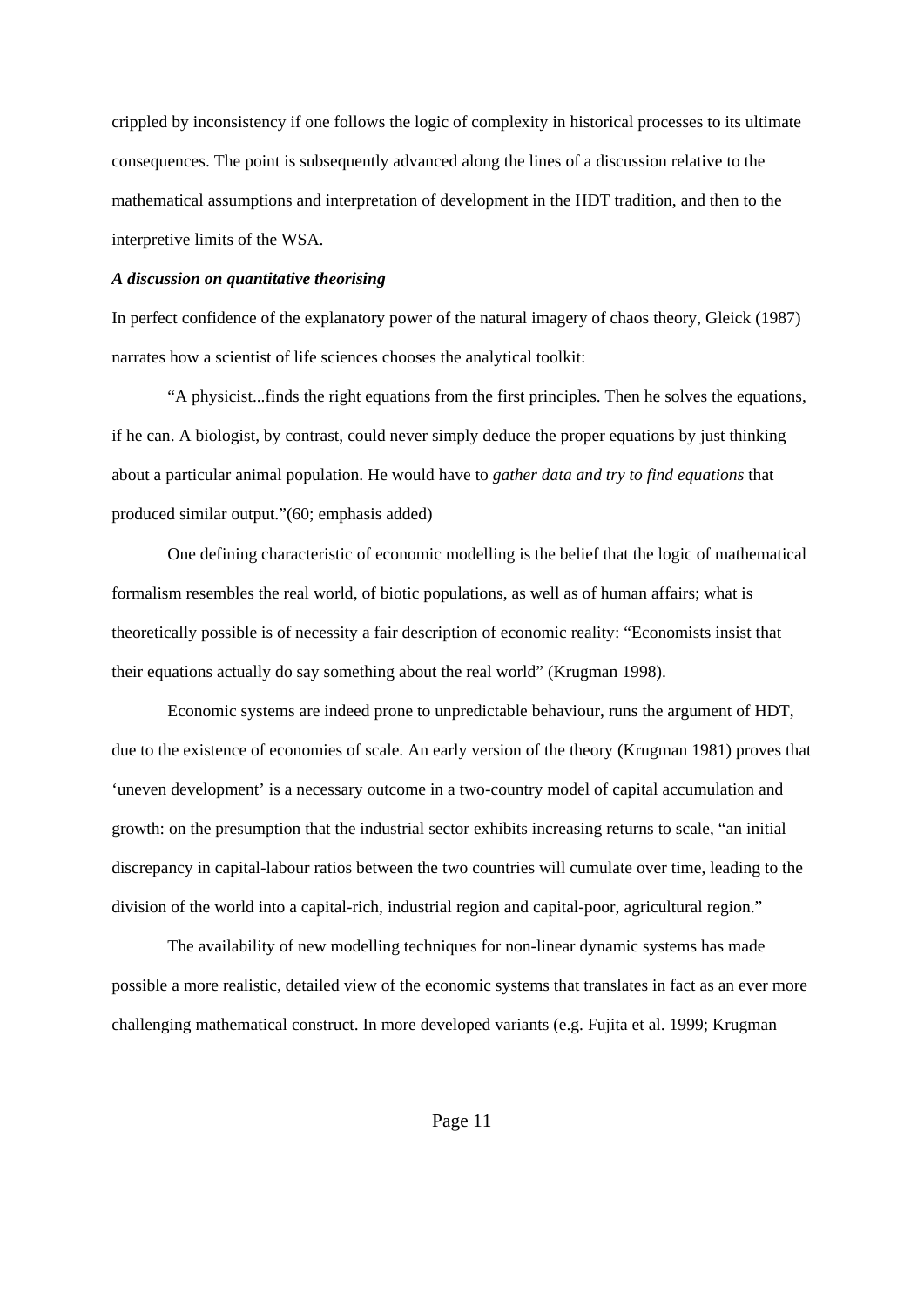crippled by inconsistency if one follows the logic of complexity in historical processes to its ultimate consequences. The point is subsequently advanced along the lines of a discussion relative to the mathematical assumptions and interpretation of development in the HDT tradition, and then to the interpretive limits of the WSA.

## *A discussion on quantitative theorising*

In perfect confidence of the explanatory power of the natural imagery of chaos theory, Gleick (1987) narrates how a scientist of life sciences chooses the analytical toolkit:

"A physicist...finds the right equations from the first principles. Then he solves the equations, if he can. A biologist, by contrast, could never simply deduce the proper equations by just thinking about a particular animal population. He would have to *gather data and try to find equations* that produced similar output."(60; emphasis added)

One defining characteristic of economic modelling is the belief that the logic of mathematical formalism resembles the real world, of biotic populations, as well as of human affairs; what is theoretically possible is of necessity a fair description of economic reality: "Economists insist that their equations actually do say something about the real world" (Krugman 1998).

Economic systems are indeed prone to unpredictable behaviour, runs the argument of HDT, due to the existence of economies of scale. An early version of the theory (Krugman 1981) proves that 'uneven development' is a necessary outcome in a two-country model of capital accumulation and growth: on the presumption that the industrial sector exhibits increasing returns to scale, "an initial discrepancy in capital-labour ratios between the two countries will cumulate over time, leading to the division of the world into a capital-rich, industrial region and capital-poor, agricultural region."

The availability of new modelling techniques for non-linear dynamic systems has made possible a more realistic, detailed view of the economic systems that translates in fact as an ever more challenging mathematical construct. In more developed variants (e.g. Fujita et al. 1999; Krugman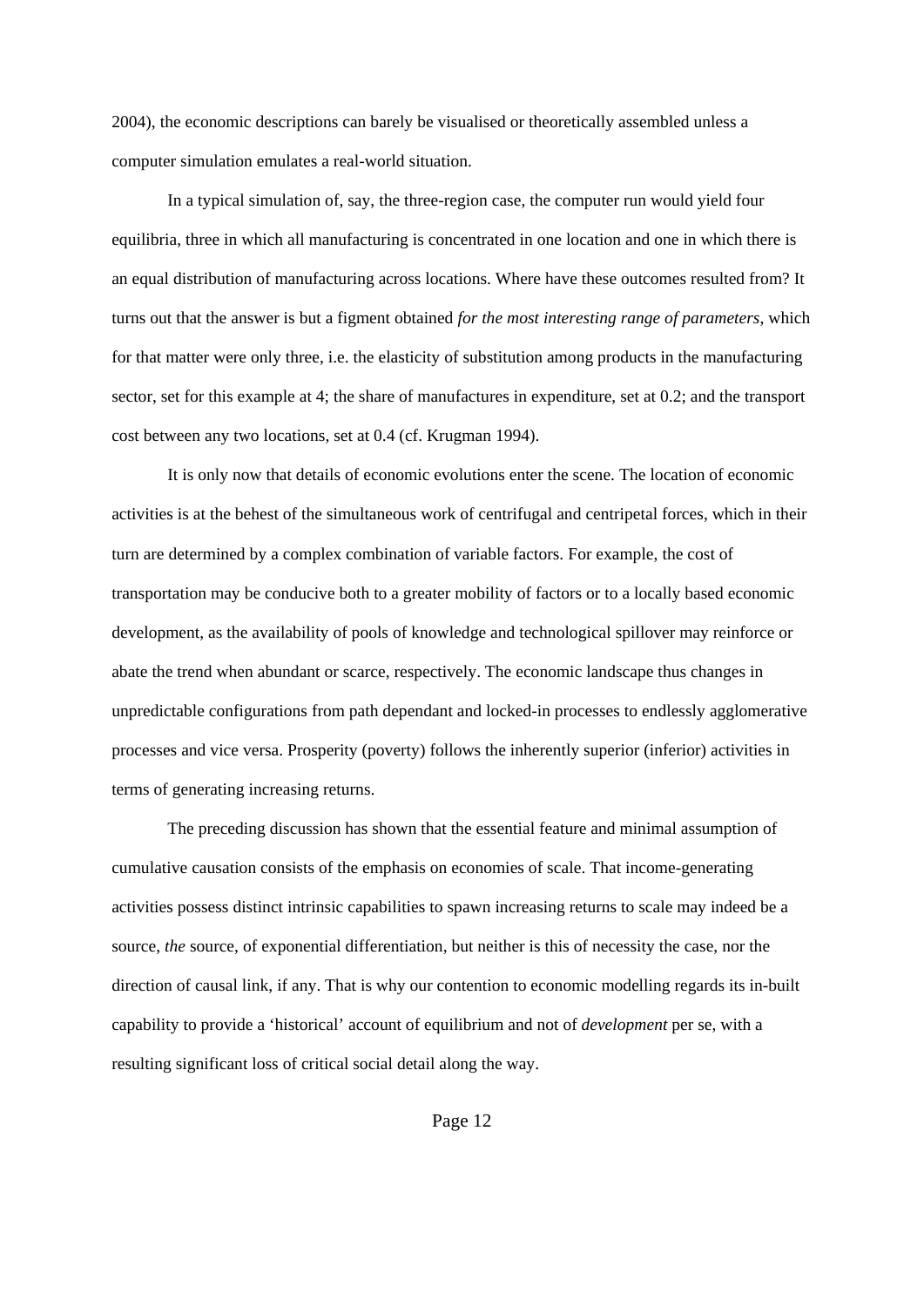2004), the economic descriptions can barely be visualised or theoretically assembled unless a computer simulation emulates a real-world situation.

In a typical simulation of, say, the three-region case, the computer run would yield four equilibria, three in which all manufacturing is concentrated in one location and one in which there is an equal distribution of manufacturing across locations. Where have these outcomes resulted from? It turns out that the answer is but a figment obtained *for the most interesting range of parameters*, which for that matter were only three, i.e. the elasticity of substitution among products in the manufacturing sector, set for this example at 4; the share of manufactures in expenditure, set at 0.2; and the transport cost between any two locations, set at 0.4 (cf. Krugman 1994).

It is only now that details of economic evolutions enter the scene. The location of economic activities is at the behest of the simultaneous work of centrifugal and centripetal forces, which in their turn are determined by a complex combination of variable factors. For example, the cost of transportation may be conducive both to a greater mobility of factors or to a locally based economic development, as the availability of pools of knowledge and technological spillover may reinforce or abate the trend when abundant or scarce, respectively. The economic landscape thus changes in unpredictable configurations from path dependant and locked-in processes to endlessly agglomerative processes and vice versa. Prosperity (poverty) follows the inherently superior (inferior) activities in terms of generating increasing returns.

The preceding discussion has shown that the essential feature and minimal assumption of cumulative causation consists of the emphasis on economies of scale. That income-generating activities possess distinct intrinsic capabilities to spawn increasing returns to scale may indeed be a source, *the* source, of exponential differentiation, but neither is this of necessity the case, nor the direction of causal link, if any. That is why our contention to economic modelling regards its in-built capability to provide a 'historical' account of equilibrium and not of *development* per se, with a resulting significant loss of critical social detail along the way.

Page 12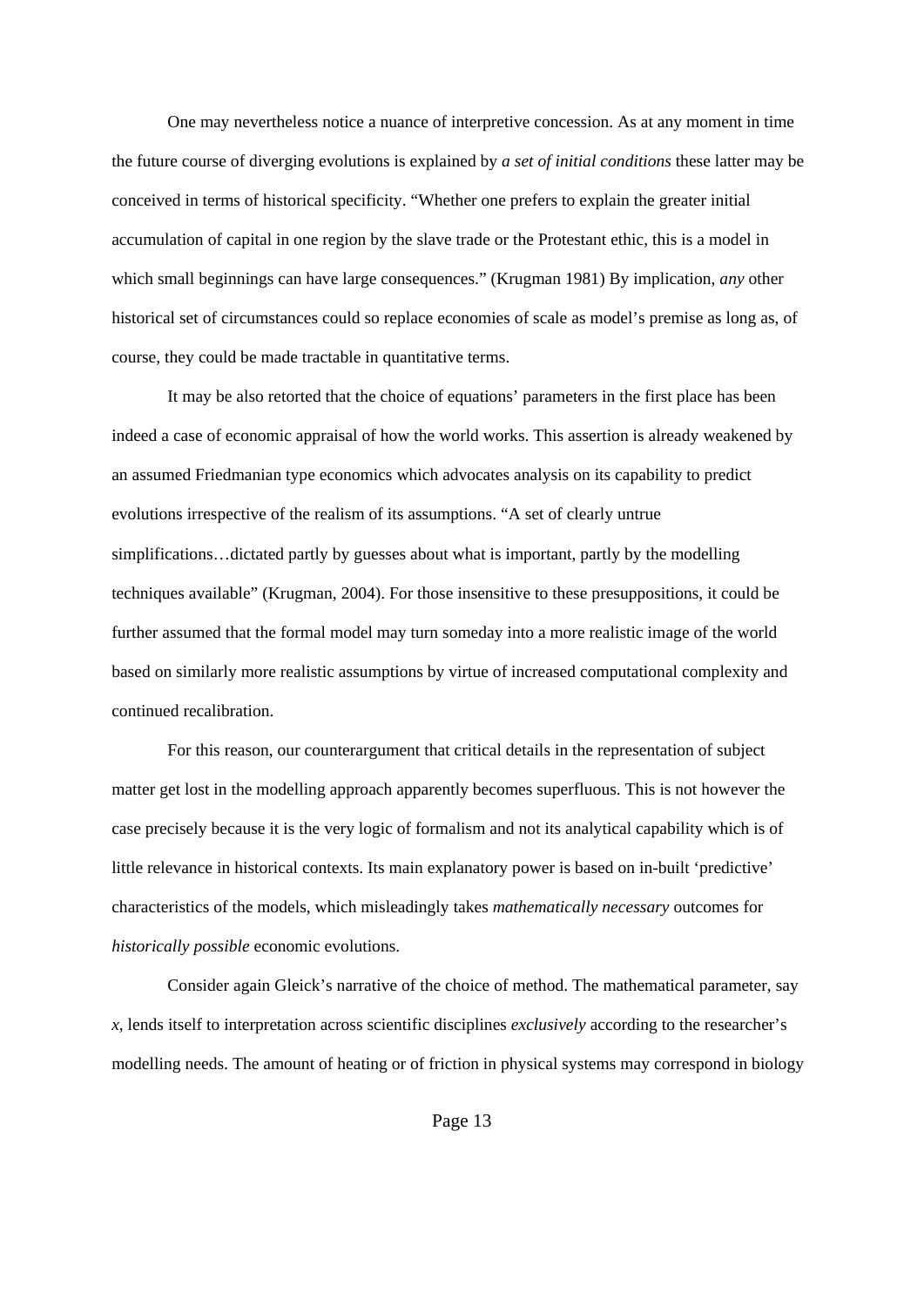One may nevertheless notice a nuance of interpretive concession. As at any moment in time the future course of diverging evolutions is explained by *a set of initial conditions* these latter may be conceived in terms of historical specificity. "Whether one prefers to explain the greater initial accumulation of capital in one region by the slave trade or the Protestant ethic, this is a model in which small beginnings can have large consequences." (Krugman 1981) By implication, *any* other historical set of circumstances could so replace economies of scale as model's premise as long as, of course, they could be made tractable in quantitative terms.

It may be also retorted that the choice of equations' parameters in the first place has been indeed a case of economic appraisal of how the world works. This assertion is already weakened by an assumed Friedmanian type economics which advocates analysis on its capability to predict evolutions irrespective of the realism of its assumptions. "A set of clearly untrue simplifications…dictated partly by guesses about what is important, partly by the modelling techniques available" (Krugman, 2004). For those insensitive to these presuppositions, it could be further assumed that the formal model may turn someday into a more realistic image of the world based on similarly more realistic assumptions by virtue of increased computational complexity and continued recalibration.

For this reason, our counterargument that critical details in the representation of subject matter get lost in the modelling approach apparently becomes superfluous. This is not however the case precisely because it is the very logic of formalism and not its analytical capability which is of little relevance in historical contexts. Its main explanatory power is based on in-built 'predictive' characteristics of the models, which misleadingly takes *mathematically necessary* outcomes for *historically possible* economic evolutions.

Consider again Gleick's narrative of the choice of method. The mathematical parameter, say *x*, lends itself to interpretation across scientific disciplines *exclusively* according to the researcher's modelling needs. The amount of heating or of friction in physical systems may correspond in biology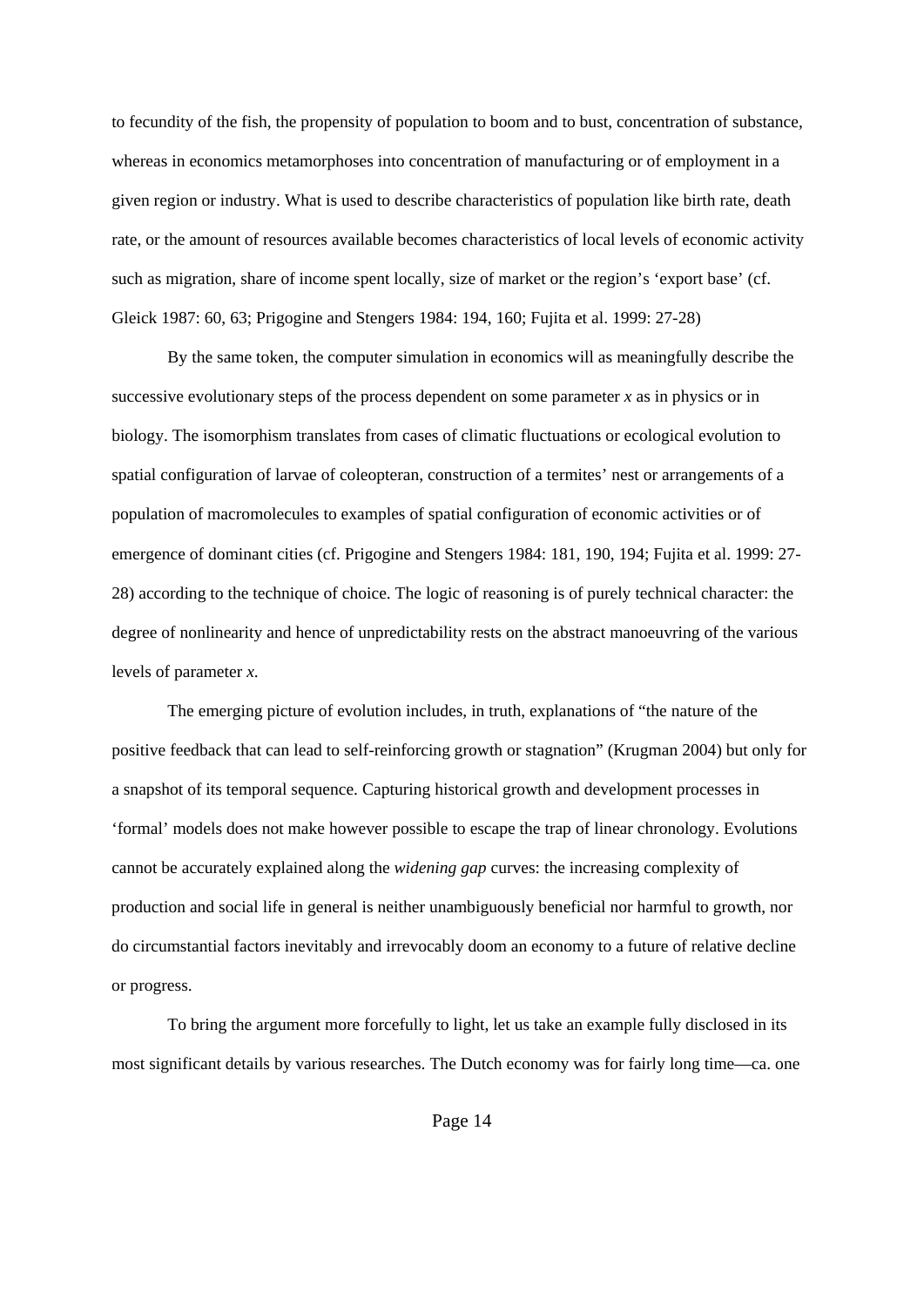to fecundity of the fish, the propensity of population to boom and to bust, concentration of substance, whereas in economics metamorphoses into concentration of manufacturing or of employment in a given region or industry. What is used to describe characteristics of population like birth rate, death rate, or the amount of resources available becomes characteristics of local levels of economic activity such as migration, share of income spent locally, size of market or the region's 'export base' (cf. Gleick 1987: 60, 63; Prigogine and Stengers 1984: 194, 160; Fujita et al. 1999: 27-28)

By the same token, the computer simulation in economics will as meaningfully describe the successive evolutionary steps of the process dependent on some parameter *x* as in physics or in biology. The isomorphism translates from cases of climatic fluctuations or ecological evolution to spatial configuration of larvae of coleopteran, construction of a termites' nest or arrangements of a population of macromolecules to examples of spatial configuration of economic activities or of emergence of dominant cities (cf. Prigogine and Stengers 1984: 181, 190, 194; Fujita et al. 1999: 27- 28) according to the technique of choice. The logic of reasoning is of purely technical character: the degree of nonlinearity and hence of unpredictability rests on the abstract manoeuvring of the various levels of parameter *x*.

The emerging picture of evolution includes, in truth, explanations of "the nature of the positive feedback that can lead to self-reinforcing growth or stagnation" (Krugman 2004) but only for a snapshot of its temporal sequence. Capturing historical growth and development processes in 'formal' models does not make however possible to escape the trap of linear chronology. Evolutions cannot be accurately explained along the *widening gap* curves: the increasing complexity of production and social life in general is neither unambiguously beneficial nor harmful to growth, nor do circumstantial factors inevitably and irrevocably doom an economy to a future of relative decline or progress.

To bring the argument more forcefully to light, let us take an example fully disclosed in its most significant details by various researches. The Dutch economy was for fairly long time—ca. one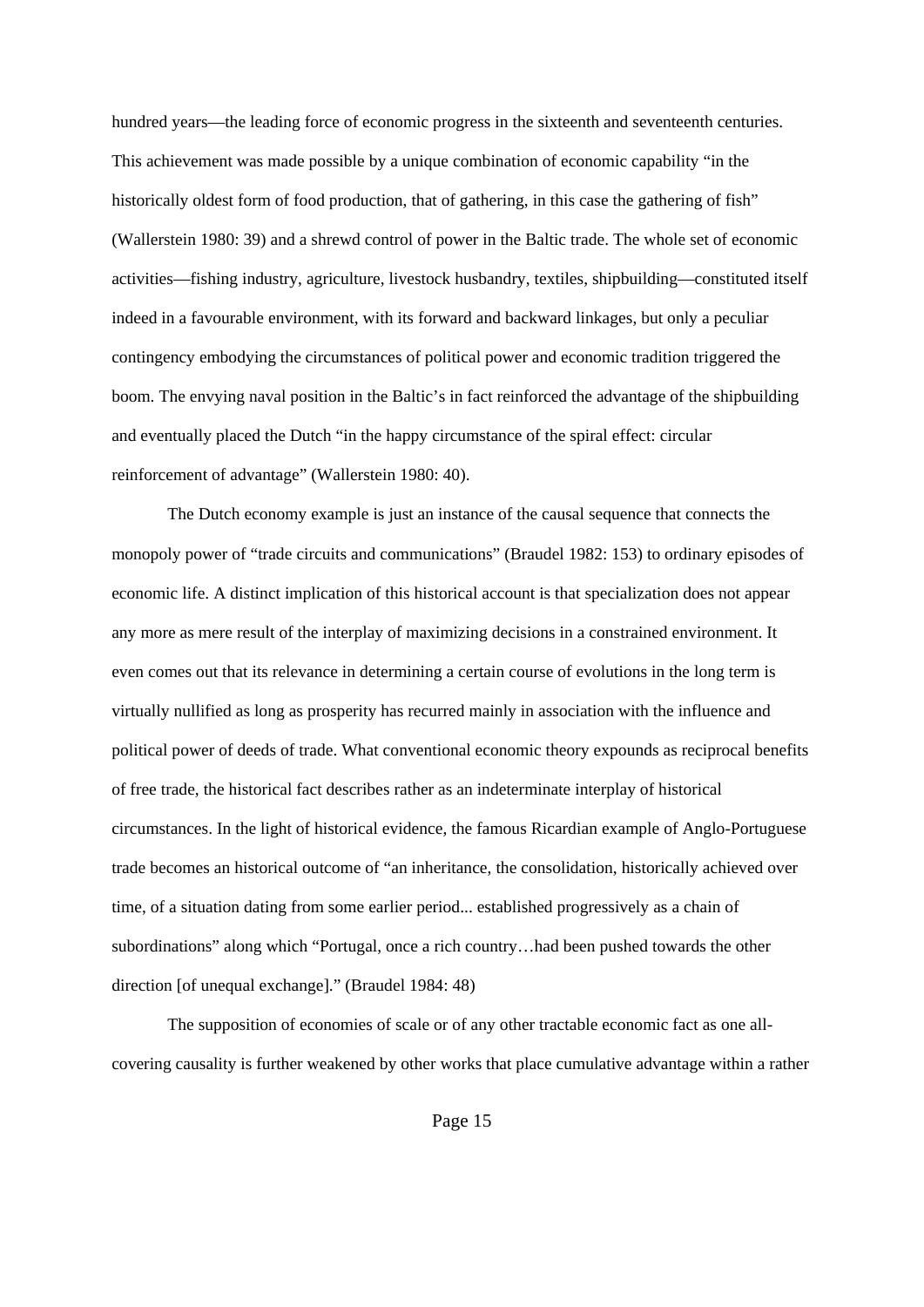hundred years—the leading force of economic progress in the sixteenth and seventeenth centuries. This achievement was made possible by a unique combination of economic capability "in the historically oldest form of food production, that of gathering, in this case the gathering of fish" (Wallerstein 1980: 39) and a shrewd control of power in the Baltic trade. The whole set of economic activities—fishing industry, agriculture, livestock husbandry, textiles, shipbuilding—constituted itself indeed in a favourable environment, with its forward and backward linkages, but only a peculiar contingency embodying the circumstances of political power and economic tradition triggered the boom. The envying naval position in the Baltic's in fact reinforced the advantage of the shipbuilding and eventually placed the Dutch "in the happy circumstance of the spiral effect: circular reinforcement of advantage" (Wallerstein 1980: 40).

The Dutch economy example is just an instance of the causal sequence that connects the monopoly power of "trade circuits and communications" (Braudel 1982: 153) to ordinary episodes of economic life. A distinct implication of this historical account is that specialization does not appear any more as mere result of the interplay of maximizing decisions in a constrained environment. It even comes out that its relevance in determining a certain course of evolutions in the long term is virtually nullified as long as prosperity has recurred mainly in association with the influence and political power of deeds of trade. What conventional economic theory expounds as reciprocal benefits of free trade, the historical fact describes rather as an indeterminate interplay of historical circumstances. In the light of historical evidence, the famous Ricardian example of Anglo-Portuguese trade becomes an historical outcome of "an inheritance, the consolidation, historically achieved over time, of a situation dating from some earlier period... established progressively as a chain of subordinations" along which "Portugal, once a rich country…had been pushed towards the other direction [of unequal exchange]." (Braudel 1984: 48)

The supposition of economies of scale or of any other tractable economic fact as one allcovering causality is further weakened by other works that place cumulative advantage within a rather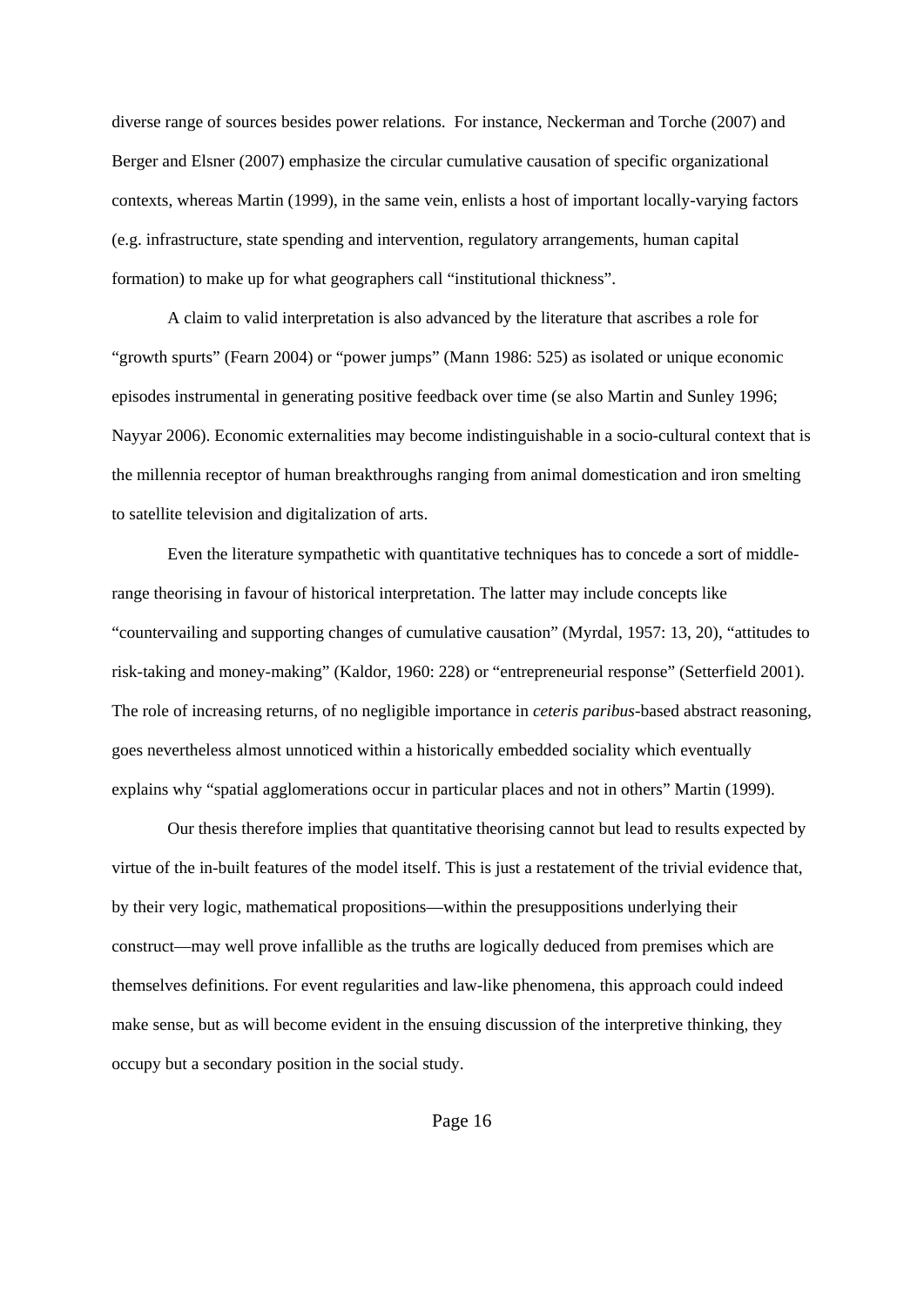diverse range of sources besides power relations. For instance, Neckerman and Torche (2007) and Berger and Elsner (2007) emphasize the circular cumulative causation of specific organizational contexts, whereas Martin (1999), in the same vein, enlists a host of important locally-varying factors (e.g. infrastructure, state spending and intervention, regulatory arrangements, human capital formation) to make up for what geographers call "institutional thickness".

A claim to valid interpretation is also advanced by the literature that ascribes a role for "growth spurts" (Fearn 2004) or "power jumps" (Mann 1986: 525) as isolated or unique economic episodes instrumental in generating positive feedback over time (se also Martin and Sunley 1996; Nayyar 2006). Economic externalities may become indistinguishable in a socio-cultural context that is the millennia receptor of human breakthroughs ranging from animal domestication and iron smelting to satellite television and digitalization of arts.

Even the literature sympathetic with quantitative techniques has to concede a sort of middlerange theorising in favour of historical interpretation. The latter may include concepts like "countervailing and supporting changes of cumulative causation" (Myrdal, 1957: 13, 20), "attitudes to risk-taking and money-making" (Kaldor, 1960: 228) or "entrepreneurial response" (Setterfield 2001). The role of increasing returns, of no negligible importance in *ceteris paribus*-based abstract reasoning, goes nevertheless almost unnoticed within a historically embedded sociality which eventually explains why "spatial agglomerations occur in particular places and not in others" Martin (1999).

Our thesis therefore implies that quantitative theorising cannot but lead to results expected by virtue of the in-built features of the model itself. This is just a restatement of the trivial evidence that, by their very logic, mathematical propositions—within the presuppositions underlying their construct—may well prove infallible as the truths are logically deduced from premises which are themselves definitions. For event regularities and law-like phenomena, this approach could indeed make sense, but as will become evident in the ensuing discussion of the interpretive thinking, they occupy but a secondary position in the social study.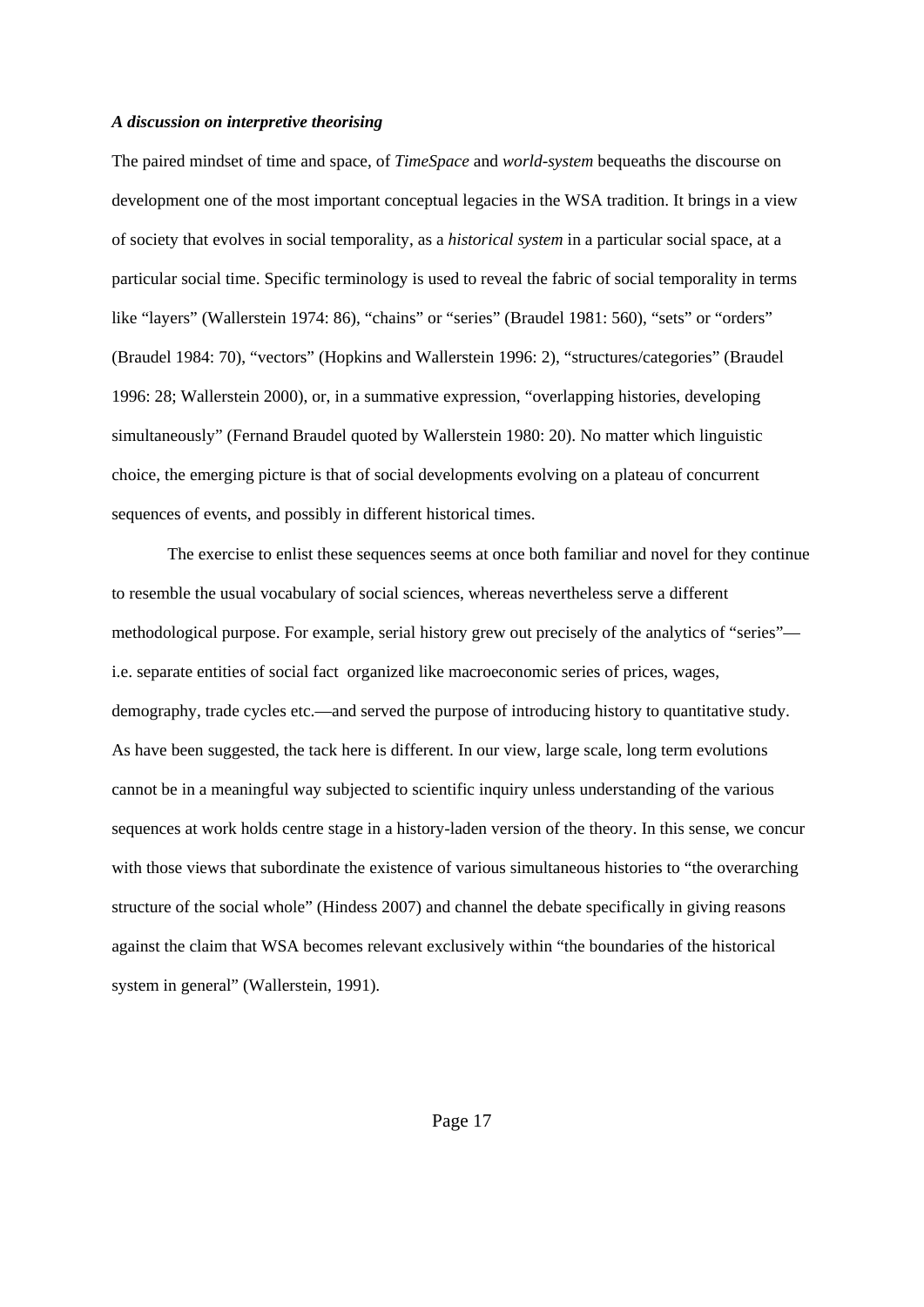#### *A discussion on interpretive theorising*

The paired mindset of time and space, of *TimeSpace* and *world-system* bequeaths the discourse on development one of the most important conceptual legacies in the WSA tradition. It brings in a view of society that evolves in social temporality, as a *historical system* in a particular social space, at a particular social time. Specific terminology is used to reveal the fabric of social temporality in terms like "layers" (Wallerstein 1974: 86), "chains" or "series" (Braudel 1981: 560), "sets" or "orders" (Braudel 1984: 70), "vectors" (Hopkins and Wallerstein 1996: 2), "structures/categories" (Braudel 1996: 28; Wallerstein 2000), or, in a summative expression, "overlapping histories, developing simultaneously" (Fernand Braudel quoted by Wallerstein 1980: 20). No matter which linguistic choice, the emerging picture is that of social developments evolving on a plateau of concurrent sequences of events, and possibly in different historical times.

The exercise to enlist these sequences seems at once both familiar and novel for they continue to resemble the usual vocabulary of social sciences, whereas nevertheless serve a different methodological purpose. For example, serial history grew out precisely of the analytics of "series" i.e. separate entities of social fact organized like macroeconomic series of prices, wages, demography, trade cycles etc.—and served the purpose of introducing history to quantitative study. As have been suggested, the tack here is different. In our view, large scale, long term evolutions cannot be in a meaningful way subjected to scientific inquiry unless understanding of the various sequences at work holds centre stage in a history-laden version of the theory. In this sense, we concur with those views that subordinate the existence of various simultaneous histories to "the overarching structure of the social whole" (Hindess 2007) and channel the debate specifically in giving reasons against the claim that WSA becomes relevant exclusively within "the boundaries of the historical system in general" (Wallerstein, 1991).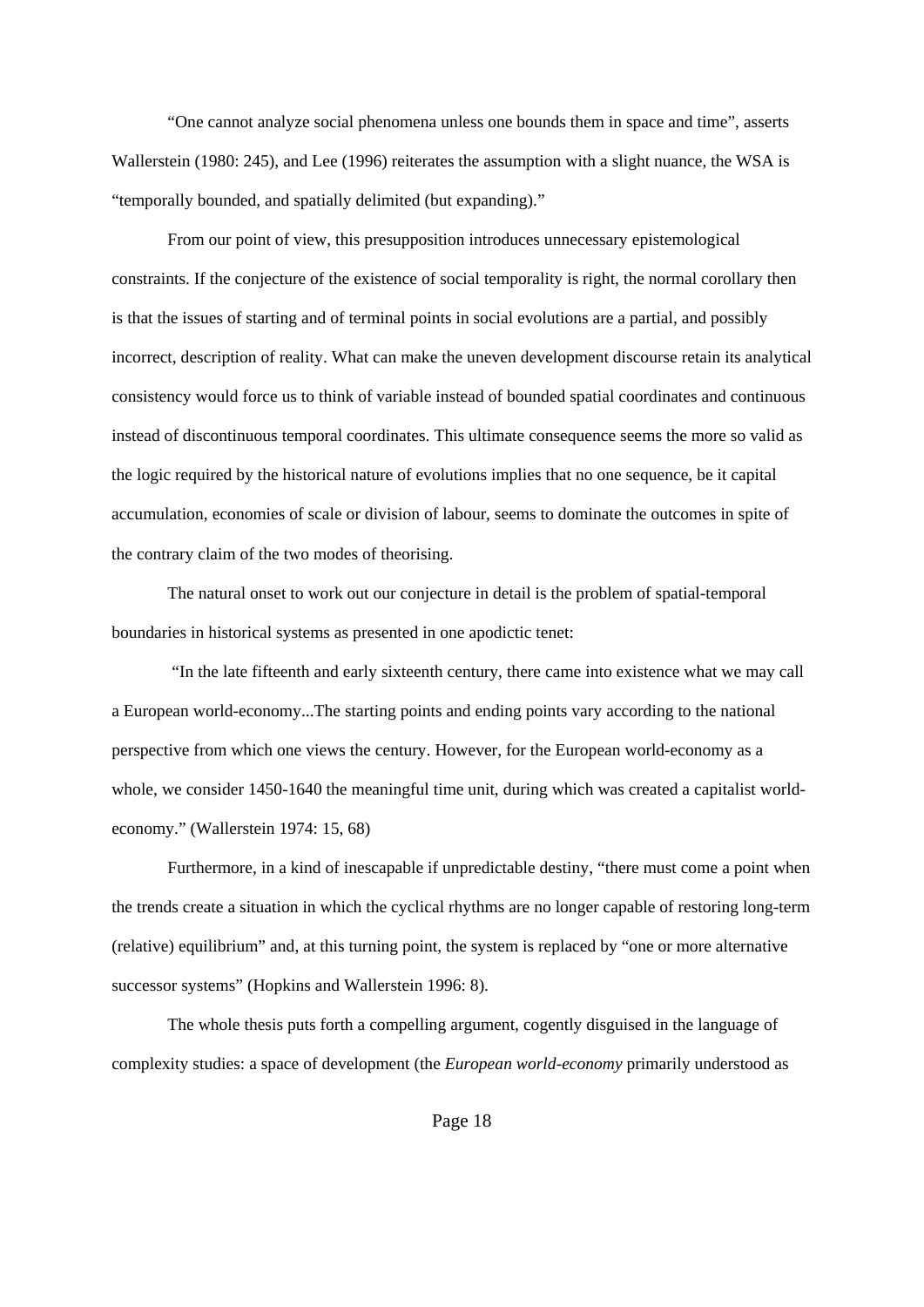"One cannot analyze social phenomena unless one bounds them in space and time", asserts Wallerstein (1980: 245), and Lee (1996) reiterates the assumption with a slight nuance, the WSA is "temporally bounded, and spatially delimited (but expanding)."

From our point of view, this presupposition introduces unnecessary epistemological constraints. If the conjecture of the existence of social temporality is right, the normal corollary then is that the issues of starting and of terminal points in social evolutions are a partial, and possibly incorrect, description of reality. What can make the uneven development discourse retain its analytical consistency would force us to think of variable instead of bounded spatial coordinates and continuous instead of discontinuous temporal coordinates. This ultimate consequence seems the more so valid as the logic required by the historical nature of evolutions implies that no one sequence, be it capital accumulation, economies of scale or division of labour, seems to dominate the outcomes in spite of the contrary claim of the two modes of theorising.

The natural onset to work out our conjecture in detail is the problem of spatial-temporal boundaries in historical systems as presented in one apodictic tenet:

 "In the late fifteenth and early sixteenth century, there came into existence what we may call a European world-economy...The starting points and ending points vary according to the national perspective from which one views the century. However, for the European world-economy as a whole, we consider 1450-1640 the meaningful time unit, during which was created a capitalist worldeconomy." (Wallerstein 1974: 15, 68)

Furthermore, in a kind of inescapable if unpredictable destiny, "there must come a point when the trends create a situation in which the cyclical rhythms are no longer capable of restoring long-term (relative) equilibrium" and, at this turning point, the system is replaced by "one or more alternative successor systems" (Hopkins and Wallerstein 1996: 8).

The whole thesis puts forth a compelling argument, cogently disguised in the language of complexity studies: a space of development (the *European world-economy* primarily understood as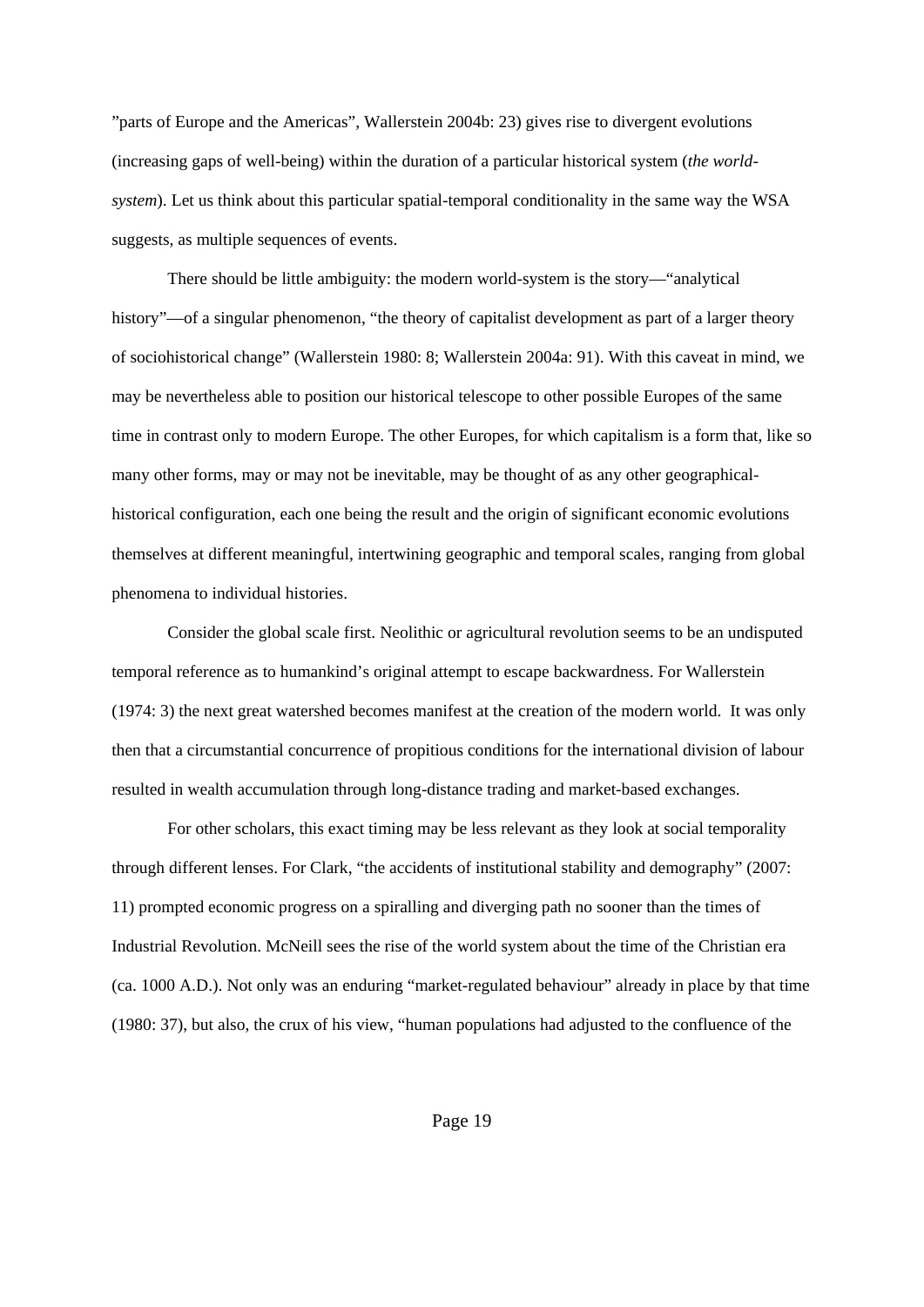"parts of Europe and the Americas", Wallerstein 2004b: 23) gives rise to divergent evolutions (increasing gaps of well-being) within the duration of a particular historical system (*the worldsystem*). Let us think about this particular spatial-temporal conditionality in the same way the WSA suggests, as multiple sequences of events.

There should be little ambiguity: the modern world-system is the story—"analytical history"—of a singular phenomenon, "the theory of capitalist development as part of a larger theory of sociohistorical change" (Wallerstein 1980: 8; Wallerstein 2004a: 91). With this caveat in mind, we may be nevertheless able to position our historical telescope to other possible Europes of the same time in contrast only to modern Europe. The other Europes, for which capitalism is a form that, like so many other forms, may or may not be inevitable, may be thought of as any other geographicalhistorical configuration, each one being the result and the origin of significant economic evolutions themselves at different meaningful, intertwining geographic and temporal scales, ranging from global phenomena to individual histories.

Consider the global scale first. Neolithic or agricultural revolution seems to be an undisputed temporal reference as to humankind's original attempt to escape backwardness. For Wallerstein (1974: 3) the next great watershed becomes manifest at the creation of the modern world. It was only then that a circumstantial concurrence of propitious conditions for the international division of labour resulted in wealth accumulation through long-distance trading and market-based exchanges.

For other scholars, this exact timing may be less relevant as they look at social temporality through different lenses. For Clark, "the accidents of institutional stability and demography" (2007: 11) prompted economic progress on a spiralling and diverging path no sooner than the times of Industrial Revolution. McNeill sees the rise of the world system about the time of the Christian era (ca. 1000 A.D.). Not only was an enduring "market-regulated behaviour" already in place by that time (1980: 37), but also, the crux of his view, "human populations had adjusted to the confluence of the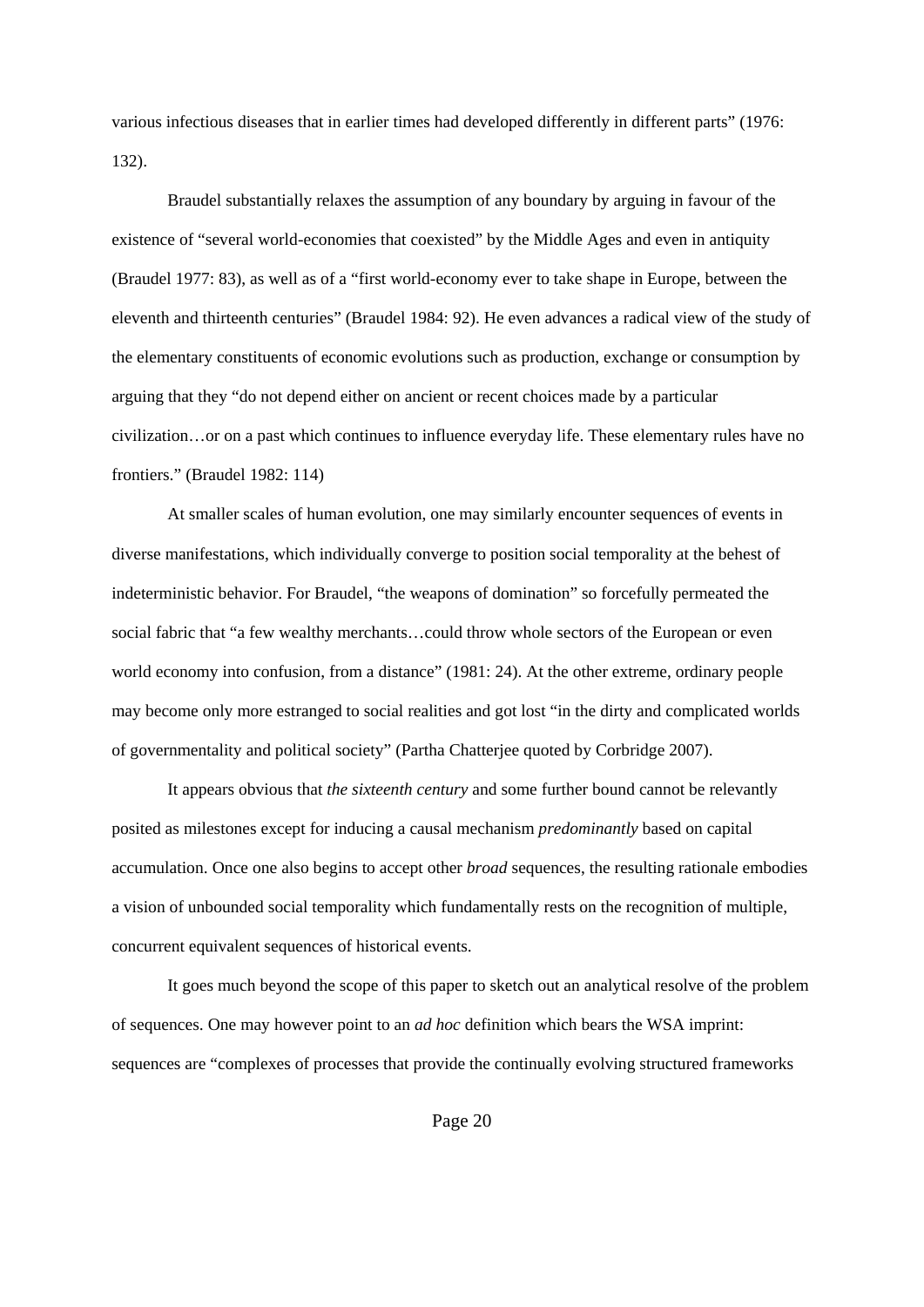various infectious diseases that in earlier times had developed differently in different parts" (1976: 132).

Braudel substantially relaxes the assumption of any boundary by arguing in favour of the existence of "several world-economies that coexisted" by the Middle Ages and even in antiquity (Braudel 1977: 83), as well as of a "first world-economy ever to take shape in Europe, between the eleventh and thirteenth centuries" (Braudel 1984: 92). He even advances a radical view of the study of the elementary constituents of economic evolutions such as production, exchange or consumption by arguing that they "do not depend either on ancient or recent choices made by a particular civilization…or on a past which continues to influence everyday life. These elementary rules have no frontiers." (Braudel 1982: 114)

At smaller scales of human evolution, one may similarly encounter sequences of events in diverse manifestations, which individually converge to position social temporality at the behest of indeterministic behavior. For Braudel, "the weapons of domination" so forcefully permeated the social fabric that "a few wealthy merchants…could throw whole sectors of the European or even world economy into confusion, from a distance" (1981: 24). At the other extreme, ordinary people may become only more estranged to social realities and got lost "in the dirty and complicated worlds of governmentality and political society" (Partha Chatterjee quoted by Corbridge 2007).

It appears obvious that *the sixteenth century* and some further bound cannot be relevantly posited as milestones except for inducing a causal mechanism *predominantly* based on capital accumulation. Once one also begins to accept other *broad* sequences, the resulting rationale embodies a vision of unbounded social temporality which fundamentally rests on the recognition of multiple, concurrent equivalent sequences of historical events.

It goes much beyond the scope of this paper to sketch out an analytical resolve of the problem of sequences. One may however point to an *ad hoc* definition which bears the WSA imprint: sequences are "complexes of processes that provide the continually evolving structured frameworks

Page 20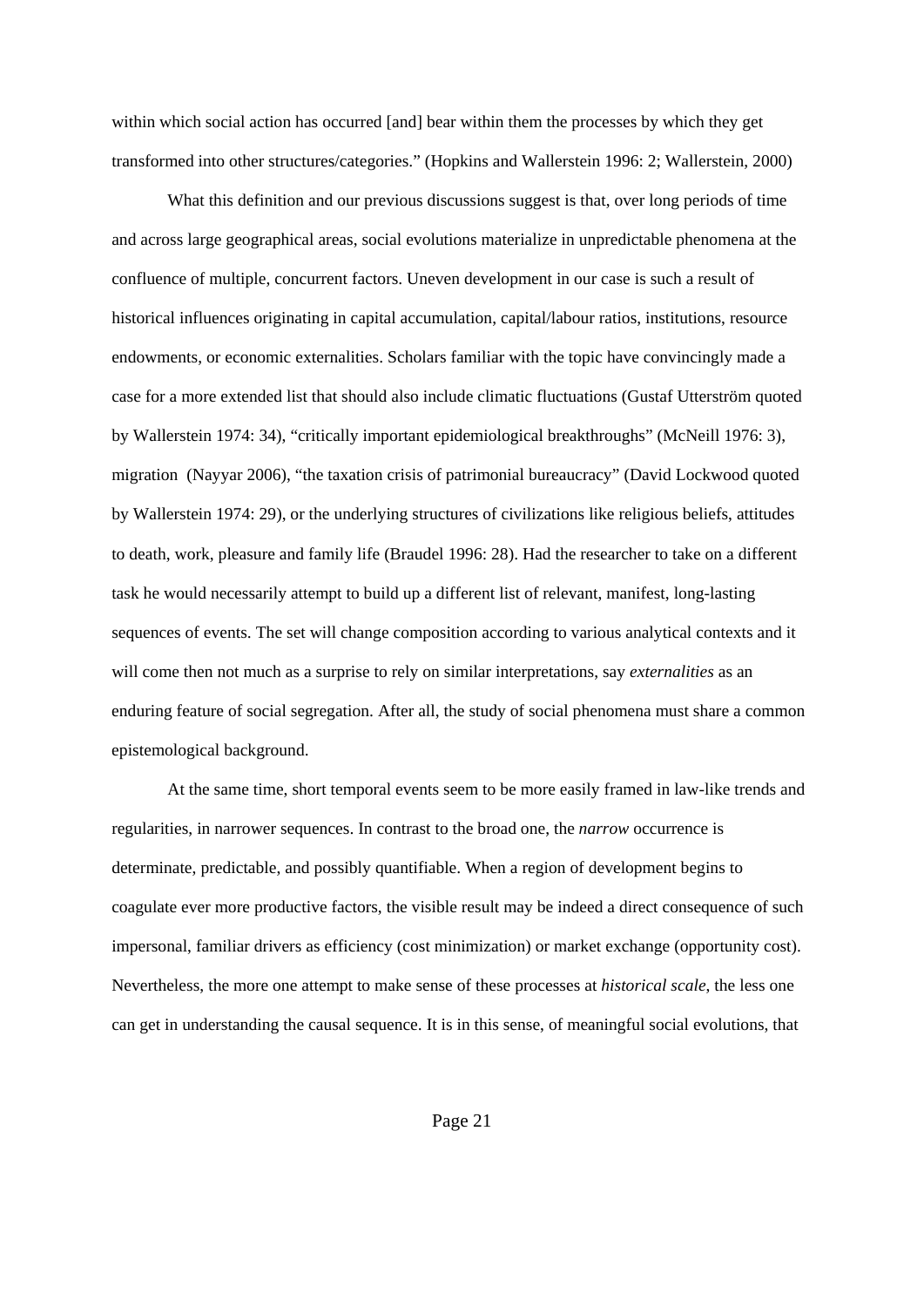within which social action has occurred [and] bear within them the processes by which they get transformed into other structures/categories." (Hopkins and Wallerstein 1996: 2; Wallerstein, 2000)

What this definition and our previous discussions suggest is that, over long periods of time and across large geographical areas, social evolutions materialize in unpredictable phenomena at the confluence of multiple, concurrent factors. Uneven development in our case is such a result of historical influences originating in capital accumulation, capital/labour ratios, institutions, resource endowments, or economic externalities. Scholars familiar with the topic have convincingly made a case for a more extended list that should also include climatic fluctuations (Gustaf Utterström quoted by Wallerstein 1974: 34), "critically important epidemiological breakthroughs" (McNeill 1976: 3), migration (Nayyar 2006), "the taxation crisis of patrimonial bureaucracy" (David Lockwood quoted by Wallerstein 1974: 29), or the underlying structures of civilizations like religious beliefs, attitudes to death, work, pleasure and family life (Braudel 1996: 28). Had the researcher to take on a different task he would necessarily attempt to build up a different list of relevant, manifest, long-lasting sequences of events. The set will change composition according to various analytical contexts and it will come then not much as a surprise to rely on similar interpretations, say *externalities* as an enduring feature of social segregation. After all, the study of social phenomena must share a common epistemological background.

At the same time, short temporal events seem to be more easily framed in law-like trends and regularities, in narrower sequences. In contrast to the broad one, the *narrow* occurrence is determinate, predictable, and possibly quantifiable. When a region of development begins to coagulate ever more productive factors, the visible result may be indeed a direct consequence of such impersonal, familiar drivers as efficiency (cost minimization) or market exchange (opportunity cost). Nevertheless, the more one attempt to make sense of these processes at *historical scale*, the less one can get in understanding the causal sequence. It is in this sense, of meaningful social evolutions, that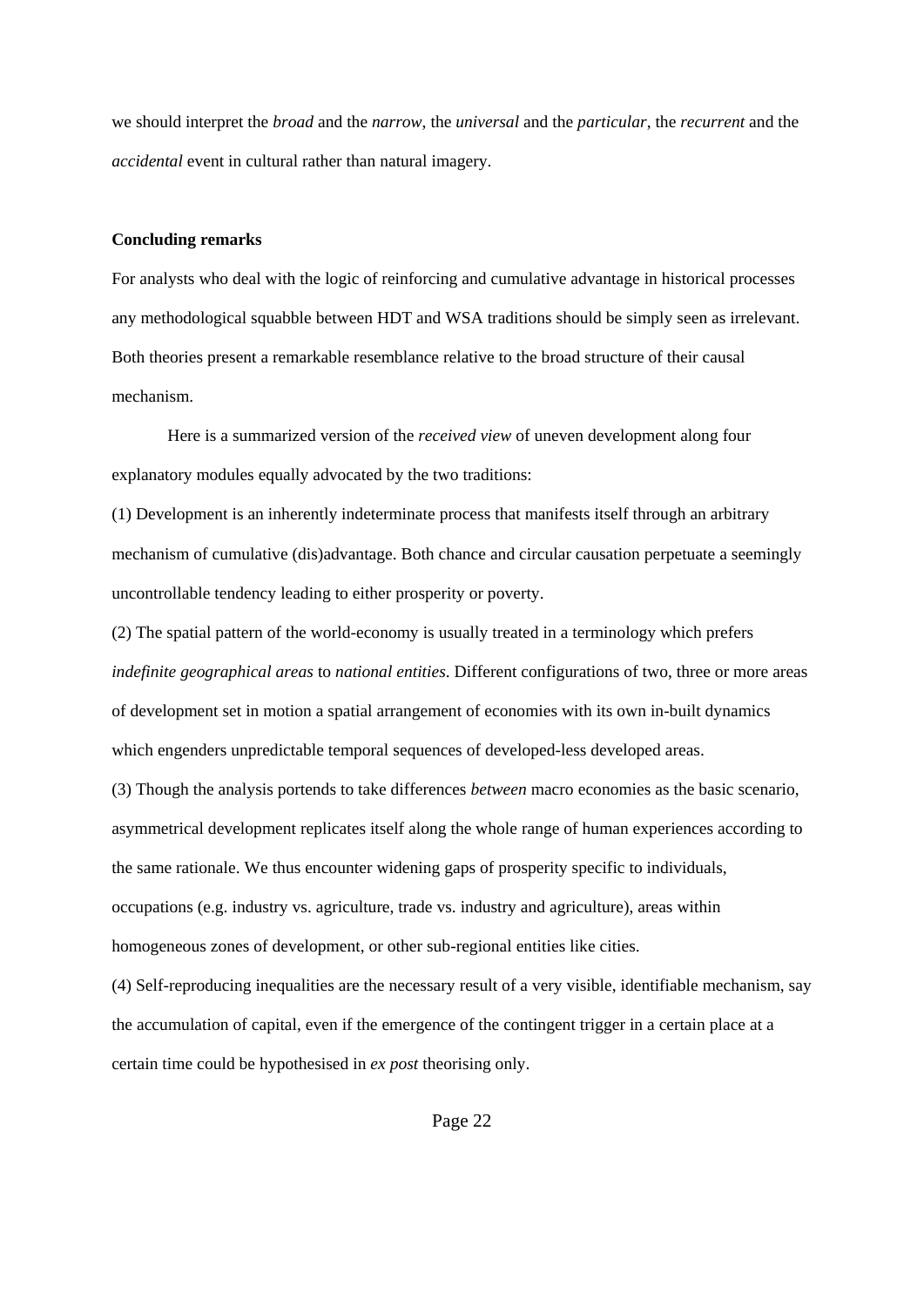we should interpret the *broad* and the *narrow*, the *universal* and the *particular*, the *recurrent* and the *accidental* event in cultural rather than natural imagery.

#### **Concluding remarks**

For analysts who deal with the logic of reinforcing and cumulative advantage in historical processes any methodological squabble between HDT and WSA traditions should be simply seen as irrelevant. Both theories present a remarkable resemblance relative to the broad structure of their causal mechanism.

Here is a summarized version of the *received view* of uneven development along four explanatory modules equally advocated by the two traditions:

(1) Development is an inherently indeterminate process that manifests itself through an arbitrary mechanism of cumulative (dis)advantage. Both chance and circular causation perpetuate a seemingly uncontrollable tendency leading to either prosperity or poverty.

(2) The spatial pattern of the world-economy is usually treated in a terminology which prefers *indefinite geographical areas* to *national entities*. Different configurations of two, three or more areas of development set in motion a spatial arrangement of economies with its own in-built dynamics which engenders unpredictable temporal sequences of developed-less developed areas.

(3) Though the analysis portends to take differences *between* macro economies as the basic scenario, asymmetrical development replicates itself along the whole range of human experiences according to the same rationale. We thus encounter widening gaps of prosperity specific to individuals, occupations (e.g. industry vs. agriculture, trade vs. industry and agriculture), areas within homogeneous zones of development, or other sub-regional entities like cities.

(4) Self-reproducing inequalities are the necessary result of a very visible, identifiable mechanism, say the accumulation of capital, even if the emergence of the contingent trigger in a certain place at a certain time could be hypothesised in *ex post* theorising only.

Page 22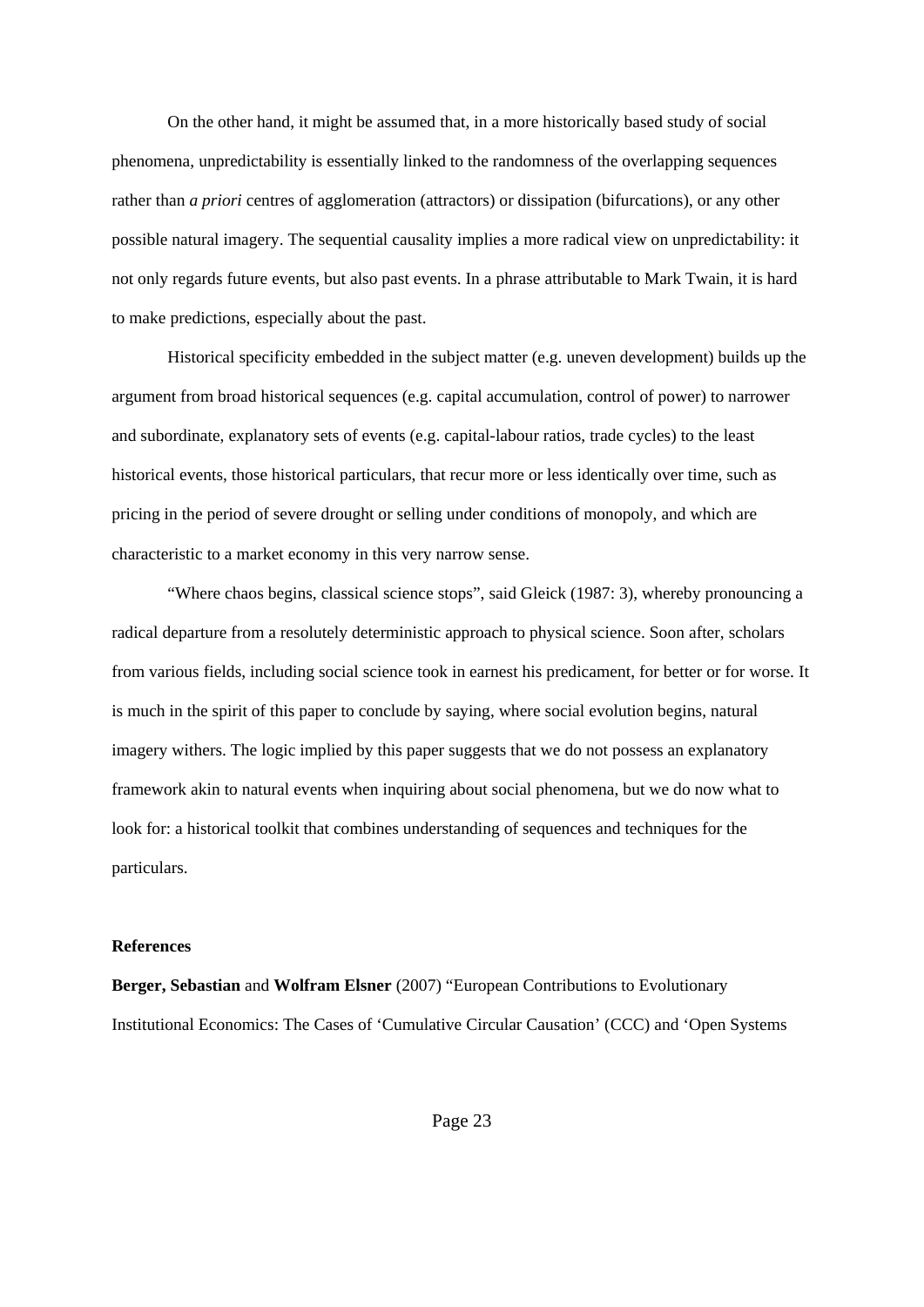On the other hand, it might be assumed that, in a more historically based study of social phenomena, unpredictability is essentially linked to the randomness of the overlapping sequences rather than *a priori* centres of agglomeration (attractors) or dissipation (bifurcations), or any other possible natural imagery. The sequential causality implies a more radical view on unpredictability: it not only regards future events, but also past events. In a phrase attributable to Mark Twain, it is hard to make predictions, especially about the past.

Historical specificity embedded in the subject matter (e.g. uneven development) builds up the argument from broad historical sequences (e.g. capital accumulation, control of power) to narrower and subordinate, explanatory sets of events (e.g. capital-labour ratios, trade cycles) to the least historical events, those historical particulars, that recur more or less identically over time, such as pricing in the period of severe drought or selling under conditions of monopoly, and which are characteristic to a market economy in this very narrow sense.

 "Where chaos begins, classical science stops", said Gleick (1987: 3), whereby pronouncing a radical departure from a resolutely deterministic approach to physical science. Soon after, scholars from various fields, including social science took in earnest his predicament, for better or for worse. It is much in the spirit of this paper to conclude by saying, where social evolution begins, natural imagery withers. The logic implied by this paper suggests that we do not possess an explanatory framework akin to natural events when inquiring about social phenomena, but we do now what to look for: a historical toolkit that combines understanding of sequences and techniques for the particulars.

# **References**

**Berger, Sebastian** and **Wolfram Elsner** (2007) "European Contributions to Evolutionary Institutional Economics: The Cases of 'Cumulative Circular Causation' (CCC) and 'Open Systems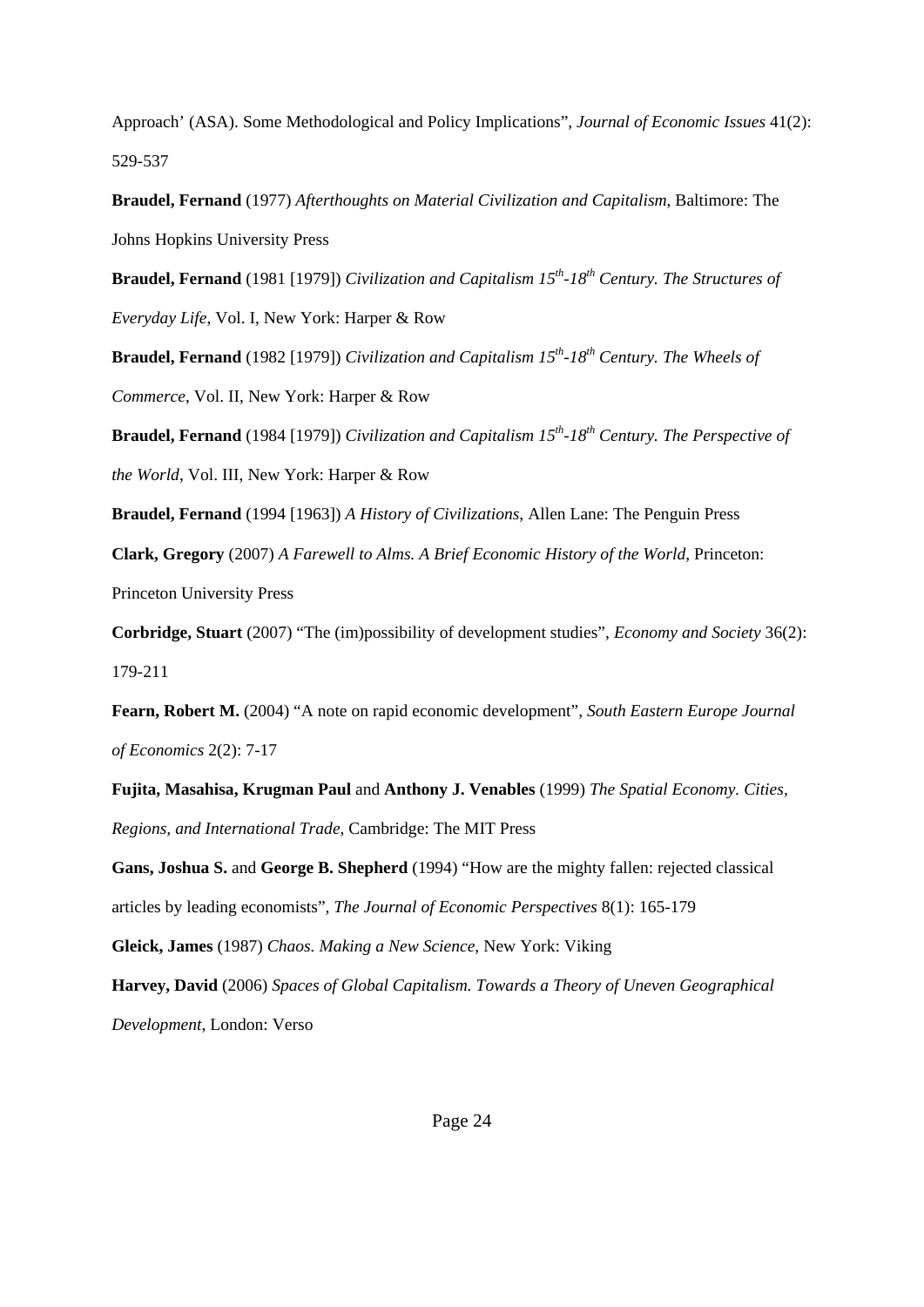Approach' (ASA). Some Methodological and Policy Implications", *Journal of Economic Issues* 41(2): 529-537

**Braudel, Fernand** (1977) *Afterthoughts on Material Civilization and Capitalism*, Baltimore: The Johns Hopkins University Press

**Braudel, Fernand** (1981 [1979]) *Civilization and Capitalism 15<sup>th</sup>-18<sup>th</sup> Century. The Structures of Everyday Life*, Vol. I, New York: Harper & Row

**Braudel, Fernand** (1982 [1979]) *Civilization and Capitalism 15th-18th Century. The Wheels of* 

*Commerce*, Vol. II, New York: Harper & Row

**Braudel, Fernand** (1984 [1979]) *Civilization and Capitalism 15th-18th Century. The Perspective of the World*, Vol. III, New York: Harper & Row

**Braudel, Fernand** (1994 [1963]) *A History of Civilizations*, Allen Lane: The Penguin Press **Clark, Gregory** (2007) *A Farewell to Alms. A Brief Economic History of the World*, Princeton:

Princeton University Press

**Corbridge, Stuart** (2007) "The (im)possibility of development studies", *Economy and Society* 36(2): 179-211

**Fearn, Robert M.** (2004) "A note on rapid economic development", *South Eastern Europe Journal of Economics* 2(2): 7-17

**Fujita, Masahisa, Krugman Paul** and **Anthony J. Venables** (1999) *The Spatial Economy. Cities, Regions, and International Trade*, Cambridge: The MIT Press

**Gans, Joshua S.** and **George B. Shepherd** (1994) "How are the mighty fallen: rejected classical articles by leading economists", *The Journal of Economic Perspectives* 8(1): 165-179

**Gleick, James** (1987) *Chaos. Making a New Science*, New York: Viking

**Harvey, David** (2006) *Spaces of Global Capitalism. Towards a Theory of Uneven Geographical Development*, London: Verso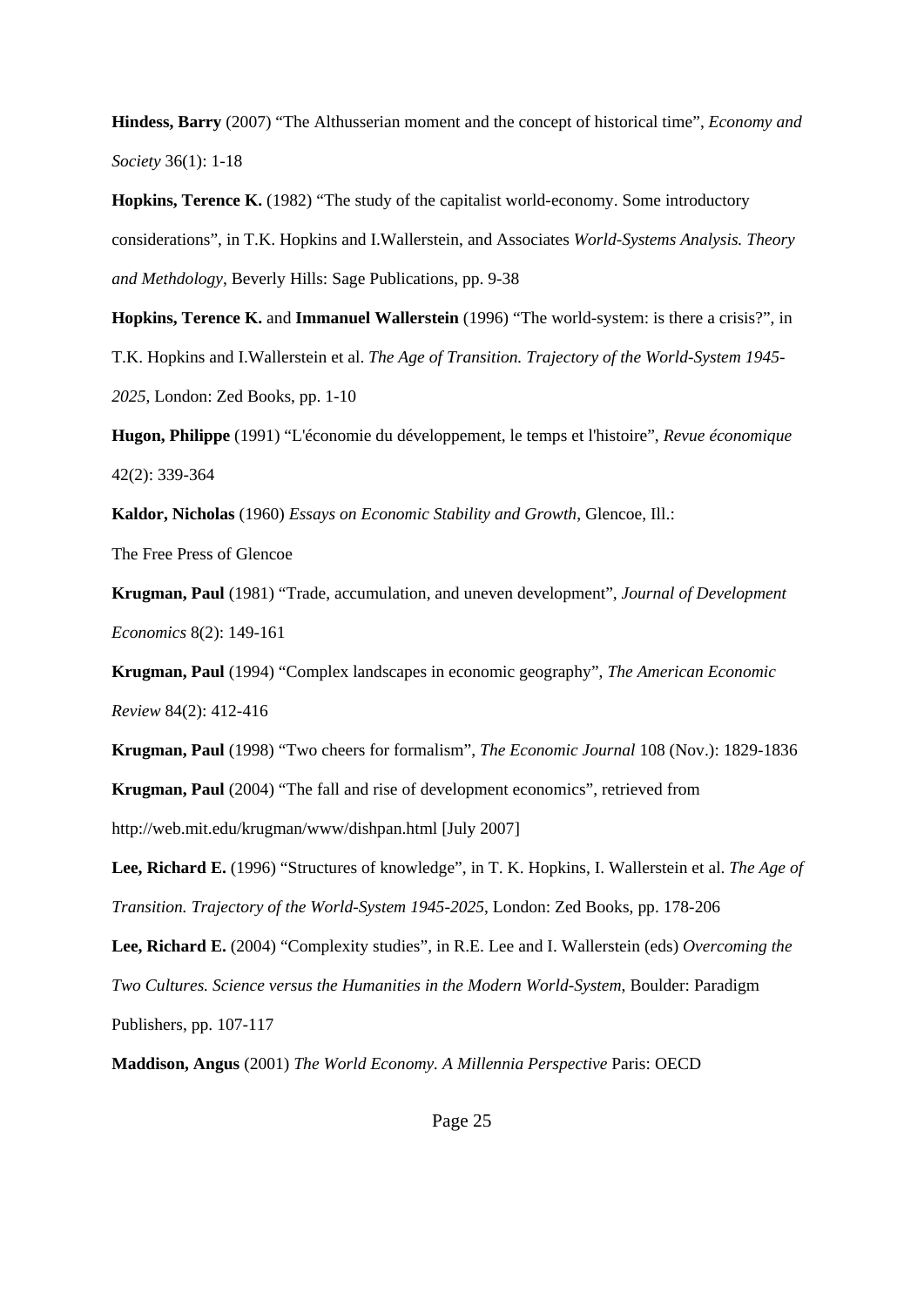**Hindess, Barry** (2007) "The Althusserian moment and the concept of historical time", *Economy and Society* 36(1): 1-18

**Hopkins, Terence K.** (1982) "The study of the capitalist world-economy. Some introductory considerations", in T.K. Hopkins and I.Wallerstein, and Associates *World-Systems Analysis. Theory and Methdology*, Beverly Hills: Sage Publications, pp. 9-38

**Hopkins, Terence K.** and **Immanuel Wallerstein** (1996) "The world-system: is there a crisis?", in T.K. Hopkins and I.Wallerstein et al. *The Age of Transition. Trajectory of the World-System 1945- 2025*, London: Zed Books, pp. 1-10

**Hugon, Philippe** (1991) "L'économie du développement, le temps et l'histoire", *Revue économique* 42(2): 339-364

**Kaldor, Nicholas** (1960) *Essays on Economic Stability and Growth*, Glencoe, Ill.:

The Free Press of Glencoe

**Krugman, Paul** (1981) "Trade, accumulation, and uneven development", *Journal of Development Economics* 8(2): 149-161

**Krugman, Paul** (1994) "Complex landscapes in economic geography", *The American Economic Review* 84(2): 412-416

**Krugman, Paul** (1998) "Two cheers for formalism", *The Economic Journal* 108 (Nov.): 1829-1836 **Krugman, Paul** (2004) "The fall and rise of development economics", retrieved from http://web.mit.edu/krugman/www/dishpan.html [July 2007]

**Lee, Richard E.** (1996) "Structures of knowledge", in T. K. Hopkins, I. Wallerstein et al. *The Age of Transition. Trajectory of the World-System 1945-2025*, London: Zed Books, pp. 178-206

**Lee, Richard E.** (2004) "Complexity studies", in R.E. Lee and I. Wallerstein (eds) *Overcoming the Two Cultures. Science versus the Humanities in the Modern World-System*, Boulder: Paradigm Publishers, pp. 107-117

**Maddison, Angus** (2001) *The World Economy. A Millennia Perspective* Paris: OECD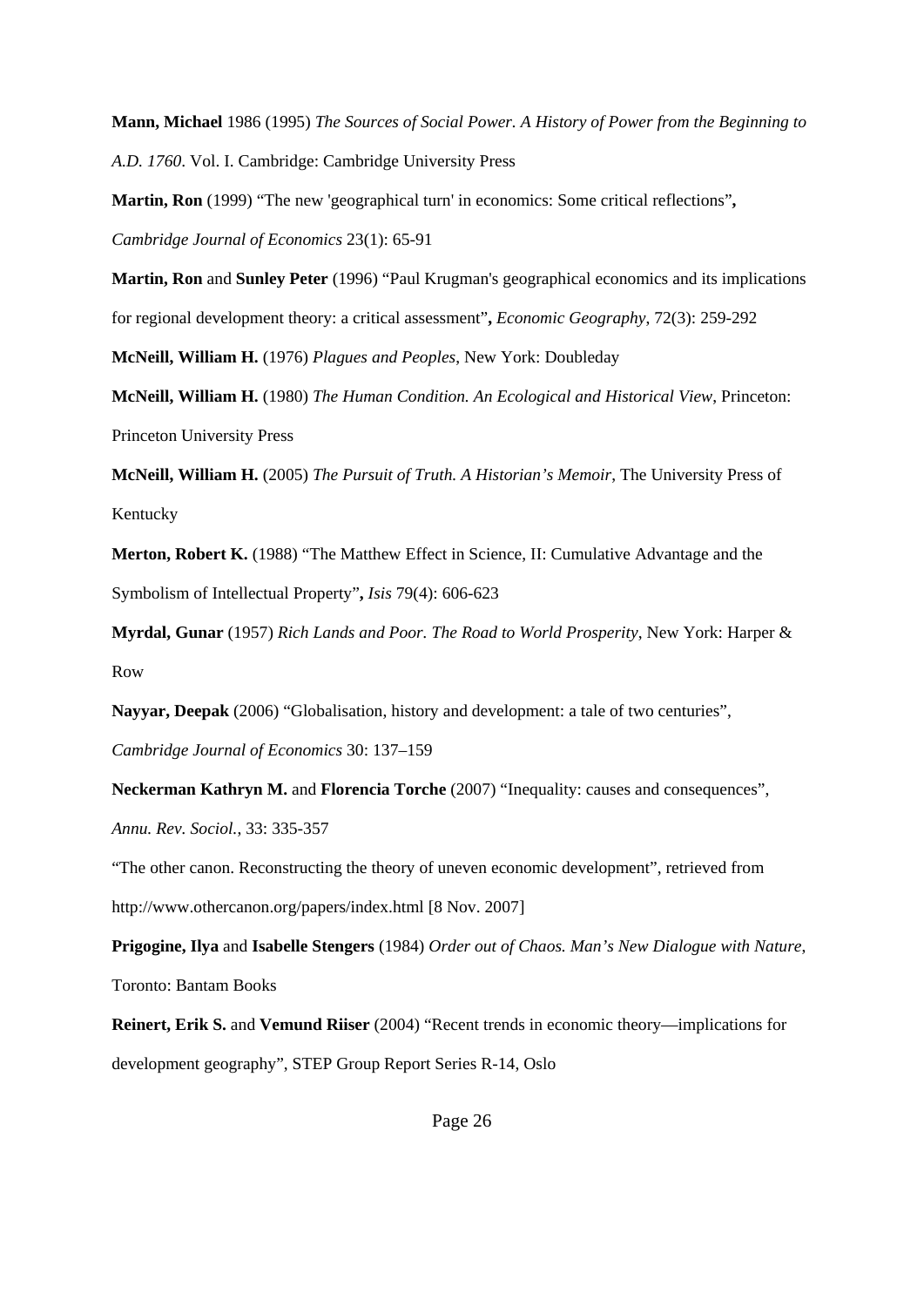**Mann, Michael** 1986 (1995) *The Sources of Social Power. A History of Power from the Beginning to A.D. 1760*. Vol. I. Cambridge: Cambridge University Press

**Martin, Ron** (1999) "The new 'geographical turn' in economics: Some critical reflections"**,**  *Cambridge Journal of Economics* 23(1): 65-91

**Martin, Ron** and **Sunley Peter** (1996) "Paul Krugman's geographical economics and its implications for regional development theory: a critical assessment"**,** *Economic Geography*, 72(3): 259-292

**McNeill, William H.** (1976) *Plagues and Peoples*, New York: Doubleday

**McNeill, William H.** (1980) *The Human Condition. An Ecological and Historical View*, Princeton: Princeton University Press

**McNeill, William H.** (2005) *The Pursuit of Truth. A Historian's Memoir*, The University Press of Kentucky

**Merton, Robert K.** (1988) "The Matthew Effect in Science, II: Cumulative Advantage and the Symbolism of Intellectual Property"**,** *Isis* 79(4): 606-623

**Myrdal, Gunar** (1957) *Rich Lands and Poor. The Road to World Prosperity*, New York: Harper & Row

**Nayyar, Deepak** (2006) "Globalisation, history and development: a tale of two centuries",

*Cambridge Journal of Economics* 30: 137–159

**Neckerman Kathryn M.** and **Florencia Torche** (2007) "Inequality: causes and consequences", *Annu. Rev. Sociol.*, 33: 335-357

"The other canon. Reconstructing the theory of uneven economic development", retrieved from http://www.othercanon.org/papers/index.html [8 Nov. 2007]

**Prigogine, Ilya** and **Isabelle Stengers** (1984) *Order out of Chaos. Man's New Dialogue with Nature*, Toronto: Bantam Books

**Reinert, Erik S.** and **Vemund Riiser** (2004) "Recent trends in economic theory—implications for development geography", STEP Group Report Series R-14, Oslo